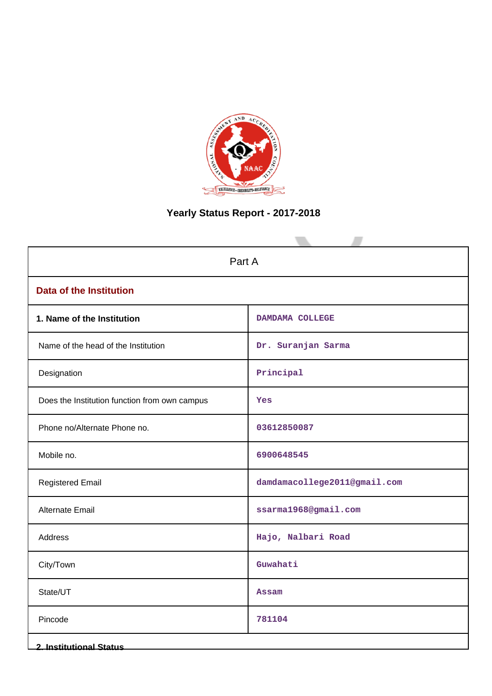

# **Yearly Status Report - 2017-2018**

| Part A                                        |                              |  |  |  |  |  |
|-----------------------------------------------|------------------------------|--|--|--|--|--|
| <b>Data of the Institution</b>                |                              |  |  |  |  |  |
| 1. Name of the Institution                    | DAMDAMA COLLEGE              |  |  |  |  |  |
| Name of the head of the Institution           | Dr. Suranjan Sarma           |  |  |  |  |  |
| Designation                                   | Principal                    |  |  |  |  |  |
| Does the Institution function from own campus | Yes                          |  |  |  |  |  |
| Phone no/Alternate Phone no.                  | 03612850087                  |  |  |  |  |  |
| Mobile no.                                    | 6900648545                   |  |  |  |  |  |
| <b>Registered Email</b>                       | damdamacollege2011@gmail.com |  |  |  |  |  |
| <b>Alternate Email</b>                        | ssarma1968@gmail.com         |  |  |  |  |  |
| Address                                       | Hajo, Nalbari Road           |  |  |  |  |  |
| City/Town                                     | Guwahati                     |  |  |  |  |  |
| State/UT                                      | <b>Assam</b>                 |  |  |  |  |  |
| Pincode                                       | 781104                       |  |  |  |  |  |
| <b>2. Institutional Status</b>                |                              |  |  |  |  |  |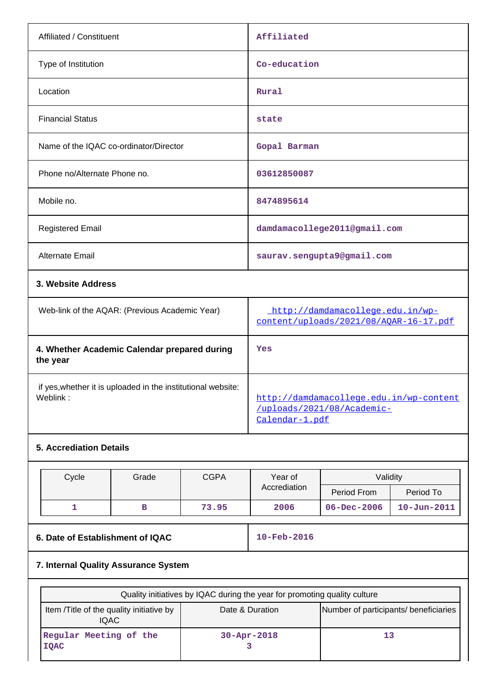| Affiliated / Constituent                       | Affiliated                       |
|------------------------------------------------|----------------------------------|
| Type of Institution                            | Co-education                     |
| Location                                       | Rural                            |
| <b>Financial Status</b>                        | state                            |
| Name of the IQAC co-ordinator/Director         | Gopal Barman                     |
| Phone no/Alternate Phone no.                   | 03612850087                      |
| Mobile no.                                     | 8474895614                       |
| <b>Registered Email</b>                        | damdamacollege2011@gmail.com     |
| <b>Alternate Email</b>                         | saurav.sengupta9@gmail.com       |
| 3. Website Address                             |                                  |
| Web-link of the AQAR: (Previous Academic Year) | http://damdamacollege.edu.in/wp- |

| Web-link of the AQAR: (Previous Academic Year)                           | http://damdamacollege.edu.in/wp-<br>content/uploads/2021/08/AOAR-16-17.pdf                |
|--------------------------------------------------------------------------|-------------------------------------------------------------------------------------------|
| 4. Whether Academic Calendar prepared during<br>the year                 | Yes                                                                                       |
| if yes, whether it is uploaded in the institutional website:<br>Weblink: | http://damdamacollege.edu.in/wp-content<br>/uploads/2021/08/Academic-<br>$Calendar-1.pdf$ |

### **5. Accrediation Details**

| Cycle | <b>CGPA</b><br>Grade |       | Year of      | Validity          |                   |  |
|-------|----------------------|-------|--------------|-------------------|-------------------|--|
|       |                      |       | Accrediation | Period From       | Period To         |  |
|       |                      | 73.95 | 2006         | $06 - Dec - 2006$ | $10 - Jun - 2011$ |  |

## **6. Date of Establishment of IQAC** 10-Feb-2016

## **7. Internal Quality Assurance System**

| Quality initiatives by IQAC during the year for promoting quality culture                                     |                    |  |  |  |  |  |  |  |
|---------------------------------------------------------------------------------------------------------------|--------------------|--|--|--|--|--|--|--|
| Number of participants/ beneficiaries<br>Item /Title of the quality initiative by<br>Date & Duration<br>IQAC. |                    |  |  |  |  |  |  |  |
| Regular Meeting of the<br><b>IOAC</b>                                                                         | $30 - Appr - 2018$ |  |  |  |  |  |  |  |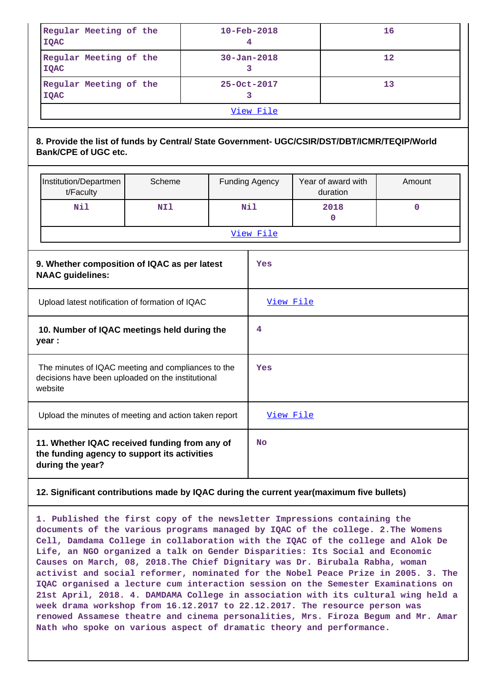|                                                       | Regular Meeting of the<br><b>IQAC</b>                                                                                       |        |           |                       | 10-Feb-2018<br>4               |           |        | 16          |  |
|-------------------------------------------------------|-----------------------------------------------------------------------------------------------------------------------------|--------|-----------|-----------------------|--------------------------------|-----------|--------|-------------|--|
|                                                       | Regular Meeting of the<br><b>IQAC</b>                                                                                       |        |           |                       | 12<br>$30 - Jan - 2018$<br>3   |           |        |             |  |
|                                                       | Regular Meeting of the<br><b>IQAC</b>                                                                                       |        |           |                       | 25-Oct-2017<br>3               |           |        | 13          |  |
| View File                                             |                                                                                                                             |        |           |                       |                                |           |        |             |  |
|                                                       | 8. Provide the list of funds by Central/ State Government- UGC/CSIR/DST/DBT/ICMR/TEQIP/World<br><b>Bank/CPE of UGC etc.</b> |        |           |                       |                                |           |        |             |  |
|                                                       | Institution/Departmen<br>t/Faculty                                                                                          | Scheme |           | <b>Funding Agency</b> | Year of award with<br>duration |           | Amount |             |  |
|                                                       | Nil                                                                                                                         | NI1    |           |                       | Nil                            | 2018<br>0 |        | $\mathbf 0$ |  |
|                                                       |                                                                                                                             |        |           |                       | View File                      |           |        |             |  |
|                                                       | 9. Whether composition of IQAC as per latest<br><b>NAAC</b> guidelines:                                                     |        |           | Yes                   |                                |           |        |             |  |
|                                                       | Upload latest notification of formation of IQAC                                                                             |        |           |                       | View File                      |           |        |             |  |
|                                                       | 10. Number of IQAC meetings held during the<br>year :                                                                       |        |           |                       | 4                              |           |        |             |  |
|                                                       | The minutes of IQAC meeting and compliances to the<br>decisions have been uploaded on the institutional<br>website          |        | Yes       |                       |                                |           |        |             |  |
| Upload the minutes of meeting and action taken report |                                                                                                                             |        |           |                       | View File                      |           |        |             |  |
|                                                       | 11. Whether IQAC received funding from any of<br>the funding agency to support its activities<br>during the year?           |        | <b>No</b> |                       |                                |           |        |             |  |
|                                                       | 12. Significant contributions made by IQAC during the current year(maximum five bullets)                                    |        |           |                       |                                |           |        |             |  |

**1. Published the first copy of the newsletter Impressions containing the documents of the various programs managed by IQAC of the college. 2.The Womens Cell, Damdama College in collaboration with the IQAC of the college and Alok De Life, an NGO organized a talk on Gender Disparities: Its Social and Economic Causes on March, 08, 2018.The Chief Dignitary was Dr. Birubala Rabha, woman activist and social reformer, nominated for the Nobel Peace Prize in 2005. 3. The IQAC organised a lecture cum interaction session on the Semester Examinations on 21st April, 2018. 4. DAMDAMA College in association with its cultural wing held a week drama workshop from 16.12.2017 to 22.12.2017. The resource person was renowed Assamese theatre and cinema personalities, Mrs. Firoza Begum and Mr. Amar Nath who spoke on various aspect of dramatic theory and performance.**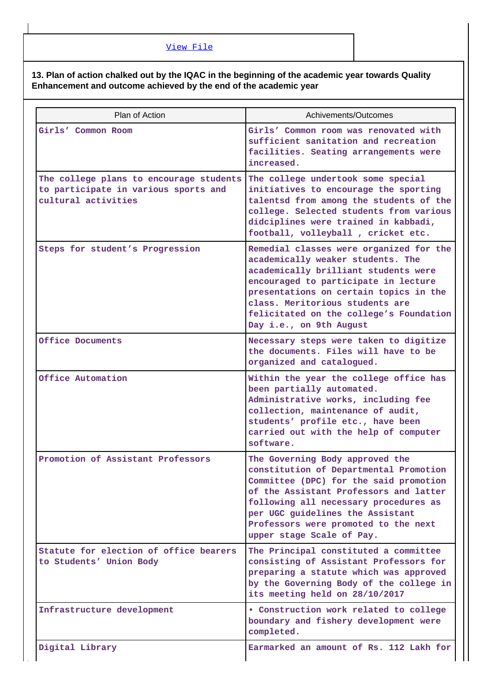#### **13. Plan of action chalked out by the IQAC in the beginning of the academic year towards Quality Enhancement and outcome achieved by the end of the academic year**

| Plan of Action                                                                                         | Achivements/Outcomes                                                                                                                                                                                                                                                                                            |
|--------------------------------------------------------------------------------------------------------|-----------------------------------------------------------------------------------------------------------------------------------------------------------------------------------------------------------------------------------------------------------------------------------------------------------------|
| Girls' Common Room                                                                                     | Girls' Common room was renovated with<br>sufficient sanitation and recreation<br>facilities. Seating arrangements were<br>increased.                                                                                                                                                                            |
| The college plans to encourage students<br>to participate in various sports and<br>cultural activities | The college undertook some special<br>initiatives to encourage the sporting<br>talentsd from among the students of the<br>college. Selected students from various<br>didciplines were trained in kabbadi,<br>football, volleyball, cricket etc.                                                                 |
| Steps for student's Progression                                                                        | Remedial classes were organized for the<br>academically weaker students. The<br>academically brilliant students were<br>encouraged to participate in lecture<br>presentations on certain topics in the<br>class. Meritorious students are<br>felicitated on the college's Foundation<br>Day i.e., on 9th August |
| Office Documents                                                                                       | Necessary steps were taken to digitize<br>the documents. Files will have to be<br>organized and catalogued.                                                                                                                                                                                                     |
| Office Automation                                                                                      | Within the year the college office has<br>been partially automated.<br>Administrative works, including fee<br>collection, maintenance of audit,<br>students' profile etc., have been<br>carried out with the help of computer<br>software.                                                                      |
| Promotion of Assistant Professors                                                                      | The Governing Body approved the<br>constitution of Departmental Promotion<br>Committee (DPC) for the said promotion<br>of the Assistant Professors and latter<br>following all necessary procedures as<br>per UGC guidelines the Assistant<br>Professors were promoted to the next<br>upper stage Scale of Pay. |
| Statute for election of office bearers<br>to Students' Union Body                                      | The Principal constituted a committee<br>consisting of Assistant Professors for<br>preparing a statute which was approved<br>by the Governing Body of the college in<br>its meeting held on 28/10/2017                                                                                                          |
| Infrastructure development                                                                             | • Construction work related to college<br>boundary and fishery development were<br>completed.                                                                                                                                                                                                                   |
| Digital Library                                                                                        | Earmarked an amount of Rs. 112 Lakh for                                                                                                                                                                                                                                                                         |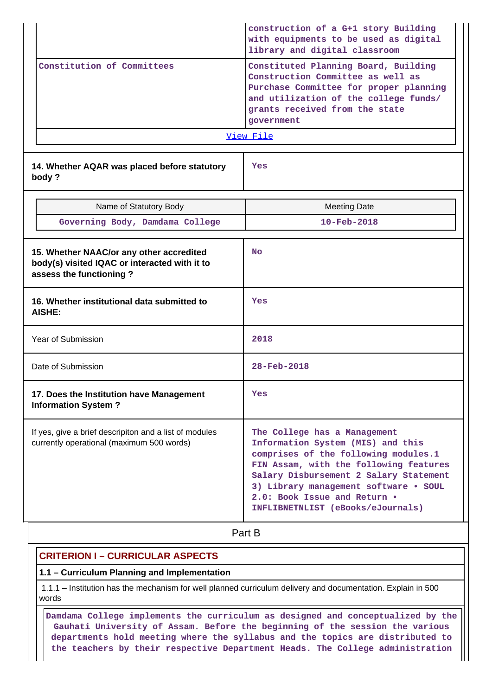|                                                                                                                      | construction of a G+1 story Building<br>with equipments to be used as digital<br>library and digital classroom<br>Constituted Planning Board, Building<br>Construction Committee as well as<br>Purchase Committee for proper planning<br>and utilization of the college funds/<br>grants received from the state<br>government<br>View File |  |  |  |  |
|----------------------------------------------------------------------------------------------------------------------|---------------------------------------------------------------------------------------------------------------------------------------------------------------------------------------------------------------------------------------------------------------------------------------------------------------------------------------------|--|--|--|--|
| Constitution of Committees                                                                                           |                                                                                                                                                                                                                                                                                                                                             |  |  |  |  |
|                                                                                                                      |                                                                                                                                                                                                                                                                                                                                             |  |  |  |  |
| 14. Whether AQAR was placed before statutory<br>body?                                                                | Yes                                                                                                                                                                                                                                                                                                                                         |  |  |  |  |
| Name of Statutory Body                                                                                               | <b>Meeting Date</b>                                                                                                                                                                                                                                                                                                                         |  |  |  |  |
| Governing Body, Damdama College                                                                                      | $10 - \text{Feb} - 2018$                                                                                                                                                                                                                                                                                                                    |  |  |  |  |
| 15. Whether NAAC/or any other accredited<br>body(s) visited IQAC or interacted with it to<br>assess the functioning? | <b>No</b>                                                                                                                                                                                                                                                                                                                                   |  |  |  |  |
| 16. Whether institutional data submitted to<br><b>AISHE:</b>                                                         | Yes                                                                                                                                                                                                                                                                                                                                         |  |  |  |  |
| <b>Year of Submission</b>                                                                                            | 2018                                                                                                                                                                                                                                                                                                                                        |  |  |  |  |
| Date of Submission                                                                                                   | 28-Feb-2018                                                                                                                                                                                                                                                                                                                                 |  |  |  |  |
| 17. Does the Institution have Management<br><b>Information System?</b>                                               | Yes                                                                                                                                                                                                                                                                                                                                         |  |  |  |  |
| If yes, give a brief descripiton and a list of modules<br>currently operational (maximum 500 words)                  | The College has a Management<br>Information System (MIS) and this<br>comprises of the following modules.1<br>FIN Assam, with the following features<br>Salary Disbursement 2 Salary Statement<br>3) Library management software . SOUL<br>2.0: Book Issue and Return .<br>INFLIBNETNLIST (eBooks/eJournals)                                 |  |  |  |  |

# **Part B**

#### **CRITERION I – CURRICULAR ASPECTS**

#### **1.1 – Curriculum Planning and Implementation**

 1.1.1 – Institution has the mechanism for well planned curriculum delivery and documentation. Explain in 500 words

 **Damdama College implements the curriculum as designed and conceptualized by the Gauhati University of Assam. Before the beginning of the session the various departments hold meeting where the syllabus and the topics are distributed to the teachers by their respective Department Heads. The College administration**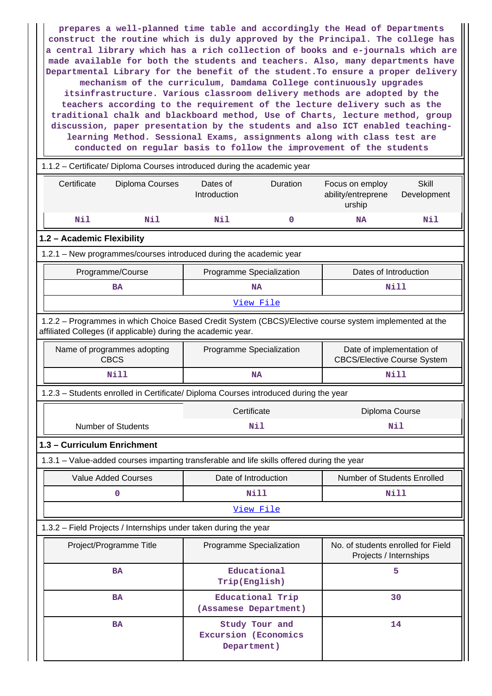**prepares a well-planned time table and accordingly the Head of Departments construct the routine which is duly approved by the Principal. The college has a central library which has a rich collection of books and e-journals which are made available for both the students and teachers. Also, many departments have Departmental Library for the benefit of the student.To ensure a proper delivery mechanism of the curriculum, Damdama College continuously upgrades itsinfrastructure. Various classroom delivery methods are adopted by the teachers according to the requirement of the lecture delivery such as the traditional chalk and blackboard method, Use of Charts, lecture method, group discussion, paper presentation by the students and also ICT enabled teachinglearning Method. Sessional Exams, assignments along with class test are conducted on regular basis to follow the improvement of the students**

## 1.1.2 – Certificate/ Diploma Courses introduced during the academic year Certificate Diploma Courses Dates of Introduction Duration Focus on employ ability/entreprene urship **Skill** Development  **Nil Nil Nil 0 NA Nil 1.2 – Academic Flexibility** 1.2.1 – New programmes/courses introduced during the academic year Programme/Course **Programme** Specialization **Programme** Specialization **Programme** Dates of Introduction BA NA NA NILL [View File](https://assessmentonline.naac.gov.in/public/Postacc/Program_introduced/13236_Program_introduced_1632119611.xlsx) 1.2.2 – Programmes in which Choice Based Credit System (CBCS)/Elective course system implemented at the affiliated Colleges (if applicable) during the academic year. Name of programmes adopting CBCS Programme Specialization | Date of implementation of CBCS/Elective Course System  **Nill NA Nill** 1.2.3 – Students enrolled in Certificate/ Diploma Courses introduced during the year Certificate Diploma Course Number of Students **Nil Nil 1.3 – Curriculum Enrichment** 1.3.1 – Value-added courses imparting transferable and life skills offered during the year Value Added Courses **Date of Introduction** Number of Students Enrolled  **0 Nill Nill** [View File](https://assessmentonline.naac.gov.in/public/Postacc/Value_added_courses/13236_Value_added_courses_1630050348.xlsx) 1.3.2 – Field Projects / Internships under taken during the year

| Project/Programme Title | Programme Specialization                              | No. of students enrolled for Field<br>Projects / Internships |
|-------------------------|-------------------------------------------------------|--------------------------------------------------------------|
| <b>BA</b>               | Educational<br>Trip(English)                          | 5                                                            |
| <b>BA</b>               | Educational Trip<br>(Assamese Department)             | 30                                                           |
| <b>BA</b>               | Study Tour and<br>Excursion (Economics<br>Department) | 14                                                           |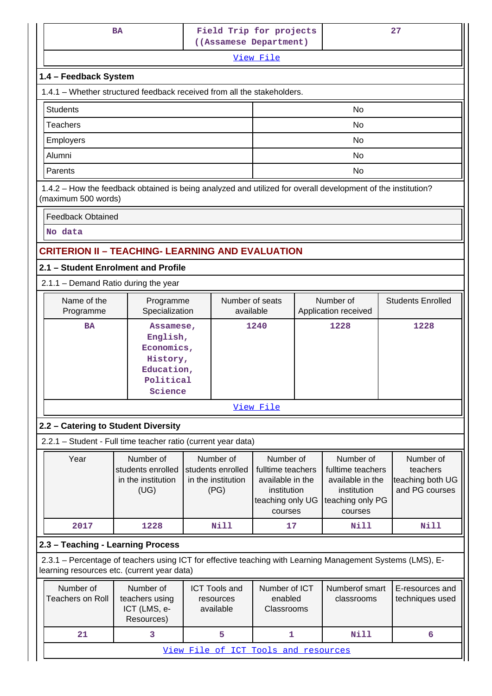|                 |                                                                                         | <b>BA</b>                                                                                                                                                 |                                      | Field Trip for projects<br>27<br>((Assamese Department) |                                   |                                 |                                    |
|-----------------|-----------------------------------------------------------------------------------------|-----------------------------------------------------------------------------------------------------------------------------------------------------------|--------------------------------------|---------------------------------------------------------|-----------------------------------|---------------------------------|------------------------------------|
|                 |                                                                                         |                                                                                                                                                           |                                      | View File                                               |                                   |                                 |                                    |
|                 | 1.4 - Feedback System                                                                   |                                                                                                                                                           |                                      |                                                         |                                   |                                 |                                    |
|                 |                                                                                         | 1.4.1 – Whether structured feedback received from all the stakeholders.                                                                                   |                                      |                                                         |                                   |                                 |                                    |
| <b>Students</b> |                                                                                         |                                                                                                                                                           |                                      | No                                                      |                                   |                                 |                                    |
|                 | <b>Teachers</b>                                                                         |                                                                                                                                                           |                                      | No                                                      |                                   |                                 |                                    |
|                 | Employers                                                                               |                                                                                                                                                           |                                      |                                                         |                                   | <b>No</b>                       |                                    |
| Alumni          |                                                                                         |                                                                                                                                                           |                                      |                                                         |                                   | No                              |                                    |
| Parents         |                                                                                         |                                                                                                                                                           |                                      |                                                         |                                   | No                              |                                    |
|                 | (maximum 500 words)                                                                     | 1.4.2 - How the feedback obtained is being analyzed and utilized for overall development of the institution?                                              |                                      |                                                         |                                   |                                 |                                    |
|                 | <b>Feedback Obtained</b>                                                                |                                                                                                                                                           |                                      |                                                         |                                   |                                 |                                    |
|                 | No data                                                                                 |                                                                                                                                                           |                                      |                                                         |                                   |                                 |                                    |
|                 |                                                                                         | <b>CRITERION II - TEACHING- LEARNING AND EVALUATION</b>                                                                                                   |                                      |                                                         |                                   |                                 |                                    |
|                 |                                                                                         | 2.1 - Student Enrolment and Profile                                                                                                                       |                                      |                                                         |                                   |                                 |                                    |
|                 |                                                                                         | 2.1.1 - Demand Ratio during the year                                                                                                                      |                                      |                                                         |                                   |                                 |                                    |
|                 | Name of the<br>Number of seats<br>Programme<br>Specialization<br>available<br>Programme |                                                                                                                                                           |                                      |                                                         | Number of<br>Application received |                                 | <b>Students Enrolled</b>           |
|                 | <b>BA</b>                                                                               | 1240<br>Assamese,                                                                                                                                         |                                      |                                                         |                                   | 1228                            | 1228                               |
|                 |                                                                                         | English,                                                                                                                                                  |                                      |                                                         |                                   |                                 |                                    |
|                 |                                                                                         | Economics,<br>History,                                                                                                                                    |                                      |                                                         |                                   |                                 |                                    |
|                 |                                                                                         | Education,                                                                                                                                                |                                      |                                                         |                                   |                                 |                                    |
|                 |                                                                                         | Political                                                                                                                                                 |                                      |                                                         |                                   |                                 |                                    |
|                 |                                                                                         | Science                                                                                                                                                   |                                      |                                                         |                                   |                                 |                                    |
|                 |                                                                                         |                                                                                                                                                           |                                      | View File                                               |                                   |                                 |                                    |
|                 |                                                                                         | 2.2 - Catering to Student Diversity                                                                                                                       |                                      |                                                         |                                   |                                 |                                    |
|                 |                                                                                         | 2.2.1 - Student - Full time teacher ratio (current year data)                                                                                             |                                      |                                                         |                                   |                                 |                                    |
|                 | Year                                                                                    | Number of                                                                                                                                                 | Number of                            | Number of                                               |                                   | Number of                       | Number of                          |
|                 |                                                                                         | students enrolled                                                                                                                                         | students enrolled                    | fulltime teachers                                       |                                   | fulltime teachers               | teachers                           |
|                 |                                                                                         | in the institution<br>(UG)                                                                                                                                | in the institution<br>(PG)           | available in the<br>institution                         |                                   | available in the<br>institution | teaching both UG<br>and PG courses |
|                 |                                                                                         |                                                                                                                                                           |                                      | teaching only UG                                        |                                   | teaching only PG                |                                    |
|                 |                                                                                         |                                                                                                                                                           |                                      | courses                                                 |                                   | courses                         |                                    |
|                 | 2017                                                                                    | 1228                                                                                                                                                      | <b>Nill</b>                          | 17                                                      |                                   | Nill                            | <b>Nill</b>                        |
|                 |                                                                                         | 2.3 - Teaching - Learning Process                                                                                                                         |                                      |                                                         |                                   |                                 |                                    |
|                 |                                                                                         | 2.3.1 – Percentage of teachers using ICT for effective teaching with Learning Management Systems (LMS), E-<br>learning resources etc. (current year data) |                                      |                                                         |                                   |                                 |                                    |
|                 | Number of                                                                               | Number of                                                                                                                                                 | <b>ICT Tools and</b>                 | Number of ICT                                           |                                   | Numberof smart                  | E-resources and                    |
|                 | <b>Teachers on Roll</b>                                                                 | teachers using                                                                                                                                            | resources                            | enabled                                                 |                                   | classrooms                      | techniques used                    |
|                 |                                                                                         | ICT (LMS, e-<br>Resources)                                                                                                                                | available                            | Classrooms                                              |                                   |                                 |                                    |
|                 | 21                                                                                      | 3                                                                                                                                                         | 5                                    | 1                                                       |                                   | <b>Nill</b>                     | 6                                  |
|                 |                                                                                         |                                                                                                                                                           | View File of ICT Tools and resources |                                                         |                                   |                                 |                                    |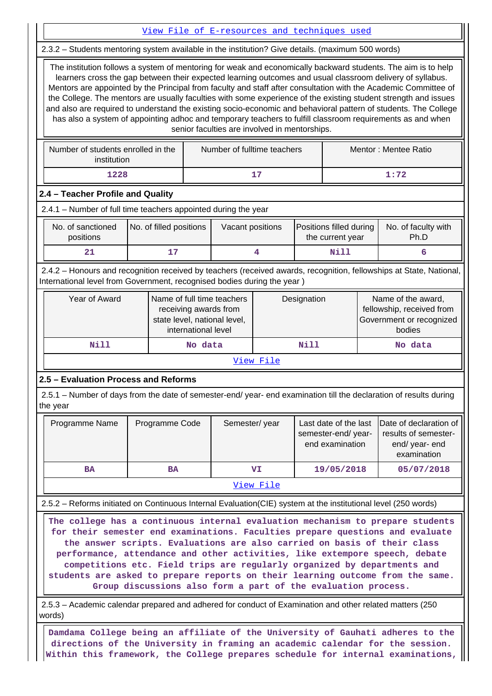|                                                                                                                                                                                                                                                                                                                                                                                                                                                                                                                                                                                                                                                                                                                                                                                                                                                         |                                                                                |                |                                                                                                                           | View File of E-resources and techniques used |                                                                                       |  |                                                                |         |                                                                                 |
|---------------------------------------------------------------------------------------------------------------------------------------------------------------------------------------------------------------------------------------------------------------------------------------------------------------------------------------------------------------------------------------------------------------------------------------------------------------------------------------------------------------------------------------------------------------------------------------------------------------------------------------------------------------------------------------------------------------------------------------------------------------------------------------------------------------------------------------------------------|--------------------------------------------------------------------------------|----------------|---------------------------------------------------------------------------------------------------------------------------|----------------------------------------------|---------------------------------------------------------------------------------------|--|----------------------------------------------------------------|---------|---------------------------------------------------------------------------------|
|                                                                                                                                                                                                                                                                                                                                                                                                                                                                                                                                                                                                                                                                                                                                                                                                                                                         |                                                                                |                |                                                                                                                           |                                              |                                                                                       |  |                                                                |         |                                                                                 |
| 2.3.2 - Students mentoring system available in the institution? Give details. (maximum 500 words)<br>The institution follows a system of mentoring for weak and economically backward students. The aim is to help<br>learners cross the gap between their expected learning outcomes and usual classroom delivery of syllabus.<br>Mentors are appointed by the Principal from faculty and staff after consultation with the Academic Committee of<br>the College. The mentors are usually faculties with some experience of the existing student strength and issues<br>and also are required to understand the existing socio-economic and behavioral pattern of students. The College<br>has also a system of appointing adhoc and temporary teachers to fulfill classroom requirements as and when<br>senior faculties are involved in mentorships. |                                                                                |                |                                                                                                                           |                                              |                                                                                       |  |                                                                |         |                                                                                 |
| Number of students enrolled in the<br>Number of fulltime teachers<br>Mentor: Mentee Ratio<br>institution                                                                                                                                                                                                                                                                                                                                                                                                                                                                                                                                                                                                                                                                                                                                                |                                                                                |                |                                                                                                                           |                                              |                                                                                       |  |                                                                |         |                                                                                 |
| 1228<br>17<br>1:72                                                                                                                                                                                                                                                                                                                                                                                                                                                                                                                                                                                                                                                                                                                                                                                                                                      |                                                                                |                |                                                                                                                           |                                              |                                                                                       |  |                                                                |         |                                                                                 |
| 2.4 - Teacher Profile and Quality                                                                                                                                                                                                                                                                                                                                                                                                                                                                                                                                                                                                                                                                                                                                                                                                                       |                                                                                |                |                                                                                                                           |                                              |                                                                                       |  |                                                                |         |                                                                                 |
| 2.4.1 - Number of full time teachers appointed during the year                                                                                                                                                                                                                                                                                                                                                                                                                                                                                                                                                                                                                                                                                                                                                                                          |                                                                                |                |                                                                                                                           |                                              |                                                                                       |  |                                                                |         |                                                                                 |
| No. of sanctioned<br>No. of filled positions<br>Vacant positions<br>Positions filled during<br>No. of faculty with<br>positions<br>Ph.D<br>the current year                                                                                                                                                                                                                                                                                                                                                                                                                                                                                                                                                                                                                                                                                             |                                                                                |                |                                                                                                                           |                                              |                                                                                       |  |                                                                |         |                                                                                 |
| 21                                                                                                                                                                                                                                                                                                                                                                                                                                                                                                                                                                                                                                                                                                                                                                                                                                                      |                                                                                | 17             |                                                                                                                           |                                              | 4                                                                                     |  | <b>Nill</b>                                                    |         | 6                                                                               |
| 2.4.2 - Honours and recognition received by teachers (received awards, recognition, fellowships at State, National,<br>International level from Government, recognised bodies during the year)                                                                                                                                                                                                                                                                                                                                                                                                                                                                                                                                                                                                                                                          |                                                                                |                |                                                                                                                           |                                              |                                                                                       |  |                                                                |         |                                                                                 |
| Year of Award                                                                                                                                                                                                                                                                                                                                                                                                                                                                                                                                                                                                                                                                                                                                                                                                                                           |                                                                                |                | Name of full time teachers<br>Designation<br>receiving awards from<br>state level, national level,<br>international level |                                              | Name of the award,<br>fellowship, received from<br>Government or recognized<br>bodies |  |                                                                |         |                                                                                 |
| <b>Nill</b>                                                                                                                                                                                                                                                                                                                                                                                                                                                                                                                                                                                                                                                                                                                                                                                                                                             |                                                                                |                | No data                                                                                                                   |                                              | Nill                                                                                  |  |                                                                | No data |                                                                                 |
|                                                                                                                                                                                                                                                                                                                                                                                                                                                                                                                                                                                                                                                                                                                                                                                                                                                         |                                                                                |                |                                                                                                                           |                                              | View File                                                                             |  |                                                                |         |                                                                                 |
| 2.5 - Evaluation Process and Reforms                                                                                                                                                                                                                                                                                                                                                                                                                                                                                                                                                                                                                                                                                                                                                                                                                    |                                                                                |                |                                                                                                                           |                                              |                                                                                       |  |                                                                |         |                                                                                 |
| 2.5.1 – Number of days from the date of semester-end/ year- end examination till the declaration of results during<br>the year                                                                                                                                                                                                                                                                                                                                                                                                                                                                                                                                                                                                                                                                                                                          |                                                                                |                |                                                                                                                           |                                              |                                                                                       |  |                                                                |         |                                                                                 |
| Programme Name                                                                                                                                                                                                                                                                                                                                                                                                                                                                                                                                                                                                                                                                                                                                                                                                                                          |                                                                                | Programme Code |                                                                                                                           | Semester/year                                |                                                                                       |  | Last date of the last<br>semester-end/year-<br>end examination |         | Date of declaration of<br>results of semester-<br>end/ year- end<br>examination |
| <b>BA</b>                                                                                                                                                                                                                                                                                                                                                                                                                                                                                                                                                                                                                                                                                                                                                                                                                                               |                                                                                | <b>BA</b>      |                                                                                                                           |                                              | VI.                                                                                   |  | 19/05/2018                                                     |         | 05/07/2018                                                                      |
|                                                                                                                                                                                                                                                                                                                                                                                                                                                                                                                                                                                                                                                                                                                                                                                                                                                         |                                                                                |                |                                                                                                                           |                                              | <u>View File</u>                                                                      |  |                                                                |         |                                                                                 |
| 2.5.2 - Reforms initiated on Continuous Internal Evaluation(CIE) system at the institutional level (250 words)                                                                                                                                                                                                                                                                                                                                                                                                                                                                                                                                                                                                                                                                                                                                          |                                                                                |                |                                                                                                                           |                                              |                                                                                       |  |                                                                |         |                                                                                 |
| The college has a continuous internal evaluation mechanism to prepare students<br>for their semester end examinations. Faculties prepare questions and evaluate<br>the answer scripts. Evaluations are also carried on basis of their class<br>performance, attendance and other activities, like extempore speech, debate<br>competitions etc. Field trips are regularly organized by departments and<br>students are asked to prepare reports on their learning outcome from the same.<br>Group discussions also form a part of the evaluation process.<br>2.5.3 – Academic calendar prepared and adhered for conduct of Examination and other related matters (250                                                                                                                                                                                   |                                                                                |                |                                                                                                                           |                                              |                                                                                       |  |                                                                |         |                                                                                 |
| words)                                                                                                                                                                                                                                                                                                                                                                                                                                                                                                                                                                                                                                                                                                                                                                                                                                                  |                                                                                |                |                                                                                                                           |                                              |                                                                                       |  |                                                                |         |                                                                                 |
|                                                                                                                                                                                                                                                                                                                                                                                                                                                                                                                                                                                                                                                                                                                                                                                                                                                         | Damdama College being an affiliate of the University of Gauhati adheres to the |                |                                                                                                                           |                                              |                                                                                       |  |                                                                |         |                                                                                 |

**directions of the University in framing an academic calendar for the session. Within this framework, the College prepares schedule for internal examinations,**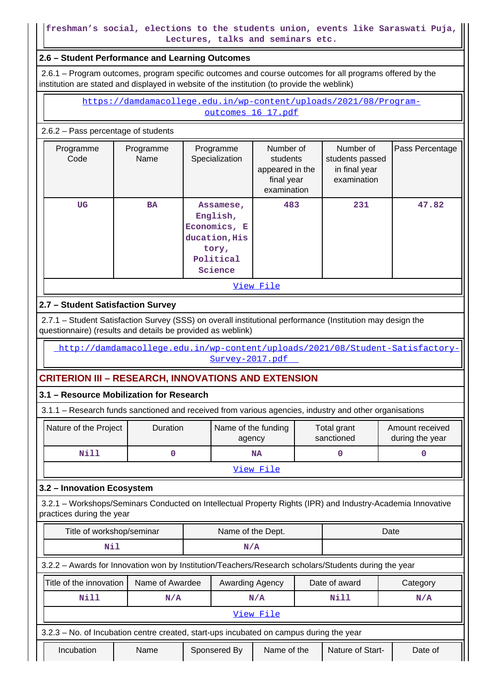#### **freshman's social, elections to the students union, events like Saraswati Puja, Lectures, talks and seminars etc.**

#### **2.6 – Student Performance and Learning Outcomes**

 2.6.1 – Program outcomes, program specific outcomes and course outcomes for all programs offered by the institution are stated and displayed in website of the institution (to provide the weblink)

> [https://damdamacollege.edu.in/wp-content/uploads/2021/08/Program](https://damdamacollege.edu.in/wp-content/uploads/2021/08/Program-outcomes_16_17.pdf)outcomes 16 17.pdf

#### 2.6.2 – Pass percentage of students

| Programme<br>Code | Programme<br>Name | Programme<br>Specialization                                                             | Number of<br>students<br>appeared in the<br>final year<br>examination | Number of<br>students passed<br>in final year<br>examination | Pass Percentage |  |  |  |
|-------------------|-------------------|-----------------------------------------------------------------------------------------|-----------------------------------------------------------------------|--------------------------------------------------------------|-----------------|--|--|--|
| <b>UG</b>         | <b>BA</b>         | Assamese,<br>English,<br>Economics, E<br>ducation, His<br>tory,<br>Political<br>Science | 483                                                                   | 231                                                          | 47.82           |  |  |  |
| View File         |                   |                                                                                         |                                                                       |                                                              |                 |  |  |  |

#### **2.7 – Student Satisfaction Survey**

 2.7.1 – Student Satisfaction Survey (SSS) on overall institutional performance (Institution may design the questionnaire) (results and details be provided as weblink)

 [http://damdamacollege.edu.in/wp-content/uploads/2021/08/Student-Satisfactory-](http://damdamacollege.edu.in/wp-content/uploads/2021/08/Student-Satisfactory-Survey-2017.pdf)[Survey-2017.pdf](http://damdamacollege.edu.in/wp-content/uploads/2021/08/Student-Satisfactory-Survey-2017.pdf) 

### **CRITERION III – RESEARCH, INNOVATIONS AND EXTENSION**

#### **3.1 – Resource Mobilization for Research**

3.1.1 – Research funds sanctioned and received from various agencies, industry and other organisations

| Nature of the Project | <b>Duration</b> | Name of the funding<br>agency | Total grant<br>sanctioned | Amount received<br>during the year |  |  |
|-----------------------|-----------------|-------------------------------|---------------------------|------------------------------------|--|--|
| Nill                  |                 | NA                            |                           |                                    |  |  |
| View File             |                 |                               |                           |                                    |  |  |

#### **3.2 – Innovation Ecosystem**

 3.2.1 – Workshops/Seminars Conducted on Intellectual Property Rights (IPR) and Industry-Academia Innovative practices during the year

| Title of workshop/seminar<br>Name of the Dept.                                                       |      |                                    |                             | Date      |      |                  |          |
|------------------------------------------------------------------------------------------------------|------|------------------------------------|-----------------------------|-----------|------|------------------|----------|
| Nil                                                                                                  |      | N/A                                |                             |           |      |                  |          |
| 3.2.2 - Awards for Innovation won by Institution/Teachers/Research scholars/Students during the year |      |                                    |                             |           |      |                  |          |
| Title of the innovation                                                                              |      | Name of Awardee<br>Awarding Agency |                             |           |      | Date of award    | Category |
| Nill                                                                                                 | N/A  |                                    | N/A                         |           | Nill | N/A              |          |
|                                                                                                      |      |                                    |                             | View File |      |                  |          |
| 3.2.3 – No. of Incubation centre created, start-ups incubated on campus during the year              |      |                                    |                             |           |      |                  |          |
| Incubation                                                                                           | Name |                                    | Name of the<br>Sponsered By |           |      | Nature of Start- | Date of  |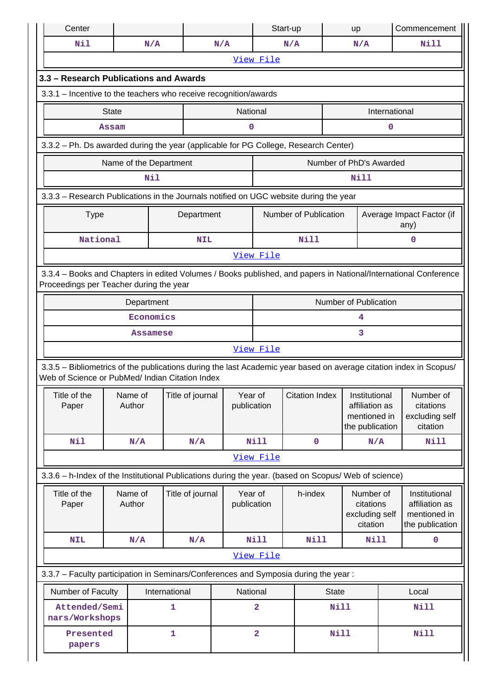| Center                                                                                                          |              |                   |                                                                                                      |                        |                         | Start-up              |              | up                                                                 |               | Commencement                                                                                                       |
|-----------------------------------------------------------------------------------------------------------------|--------------|-------------------|------------------------------------------------------------------------------------------------------|------------------------|-------------------------|-----------------------|--------------|--------------------------------------------------------------------|---------------|--------------------------------------------------------------------------------------------------------------------|
| Nil                                                                                                             |              | N/A               |                                                                                                      | N/A                    |                         | N/A                   |              | N/A                                                                |               | <b>Nill</b>                                                                                                        |
| View File                                                                                                       |              |                   |                                                                                                      |                        |                         |                       |              |                                                                    |               |                                                                                                                    |
| 3.3 - Research Publications and Awards                                                                          |              |                   |                                                                                                      |                        |                         |                       |              |                                                                    |               |                                                                                                                    |
| 3.3.1 - Incentive to the teachers who receive recognition/awards                                                |              |                   |                                                                                                      |                        |                         |                       |              |                                                                    |               |                                                                                                                    |
|                                                                                                                 | <b>State</b> |                   |                                                                                                      | National               |                         |                       |              |                                                                    | International |                                                                                                                    |
| Assam<br>0<br>0                                                                                                 |              |                   |                                                                                                      |                        |                         |                       |              |                                                                    |               |                                                                                                                    |
|                                                                                                                 |              |                   | 3.3.2 - Ph. Ds awarded during the year (applicable for PG College, Research Center)                  |                        |                         |                       |              |                                                                    |               |                                                                                                                    |
| Number of PhD's Awarded<br>Name of the Department                                                               |              |                   |                                                                                                      |                        |                         |                       |              |                                                                    |               |                                                                                                                    |
|                                                                                                                 |              | Nil               |                                                                                                      |                        |                         |                       |              | Nill                                                               |               |                                                                                                                    |
|                                                                                                                 |              |                   | 3.3.3 - Research Publications in the Journals notified on UGC website during the year                |                        |                         |                       |              |                                                                    |               |                                                                                                                    |
| <b>Type</b>                                                                                                     |              |                   | Department                                                                                           |                        |                         | Number of Publication |              |                                                                    |               | Average Impact Factor (if<br>any)                                                                                  |
| National                                                                                                        |              |                   | <b>NIL</b>                                                                                           |                        |                         | <b>Nill</b>           |              |                                                                    |               | 0                                                                                                                  |
|                                                                                                                 |              |                   |                                                                                                      |                        | View File               |                       |              |                                                                    |               |                                                                                                                    |
| 3.3.4 - Books and Chapters in edited Volumes / Books published, and papers in National/International Conference |              |                   |                                                                                                      |                        |                         |                       |              |                                                                    |               |                                                                                                                    |
| Proceedings per Teacher during the year<br>Number of Publication                                                |              |                   |                                                                                                      |                        |                         |                       |              |                                                                    |               |                                                                                                                    |
| Department<br>Economics<br>4                                                                                    |              |                   |                                                                                                      |                        |                         |                       |              |                                                                    |               |                                                                                                                    |
|                                                                                                                 |              | Assamese          |                                                                                                      |                        |                         |                       |              | 3                                                                  |               |                                                                                                                    |
|                                                                                                                 |              |                   |                                                                                                      |                        | View File               |                       |              |                                                                    |               |                                                                                                                    |
|                                                                                                                 |              |                   | Web of Science or PubMed/ Indian Citation Index                                                      |                        |                         |                       |              |                                                                    |               | 3.3.5 - Bibliometrics of the publications during the last Academic year based on average citation index in Scopus/ |
| Title of the<br>Paper                                                                                           |              | Name of<br>Author | Title of journal                                                                                     | Year of<br>publication |                         | <b>Citation Index</b> |              | Institutional<br>affiliation as<br>mentioned in<br>the publication |               | Number of<br>citations<br>excluding self<br>citation                                                               |
| Nil                                                                                                             |              | N/A               | N/A                                                                                                  |                        | <b>Nill</b>             | $\pmb{0}$             |              | N/A                                                                |               | <b>Nill</b>                                                                                                        |
|                                                                                                                 |              |                   |                                                                                                      |                        | View File               |                       |              |                                                                    |               |                                                                                                                    |
|                                                                                                                 |              |                   | 3.3.6 - h-Index of the Institutional Publications during the year. (based on Scopus/ Web of science) |                        |                         |                       |              |                                                                    |               |                                                                                                                    |
| Title of the<br>Paper                                                                                           |              | Name of<br>Author | Title of journal                                                                                     | Year of<br>publication |                         | h-index               |              | Number of<br>citations<br>excluding self<br>citation               |               | Institutional<br>affiliation as<br>mentioned in<br>the publication                                                 |
| <b>NIL</b>                                                                                                      |              | N/A               | N/A                                                                                                  |                        | <b>Nill</b>             | Nill                  |              | Nill                                                               |               | 0                                                                                                                  |
|                                                                                                                 |              |                   |                                                                                                      |                        | View File               |                       |              |                                                                    |               |                                                                                                                    |
|                                                                                                                 |              |                   | 3.3.7 - Faculty participation in Seminars/Conferences and Symposia during the year:                  |                        |                         |                       |              |                                                                    |               |                                                                                                                    |
| Number of Faculty                                                                                               |              |                   | International                                                                                        | National               |                         |                       | <b>State</b> |                                                                    |               | Local                                                                                                              |
| Attended/Semi<br>nars/Workshops                                                                                 |              |                   | 1                                                                                                    |                        | $\overline{\mathbf{2}}$ |                       | <b>Nill</b>  |                                                                    |               | <b>Nill</b>                                                                                                        |
| Presented<br>papers                                                                                             |              |                   | 1                                                                                                    |                        | $\overline{\mathbf{2}}$ |                       | <b>Nill</b>  |                                                                    |               | Nill                                                                                                               |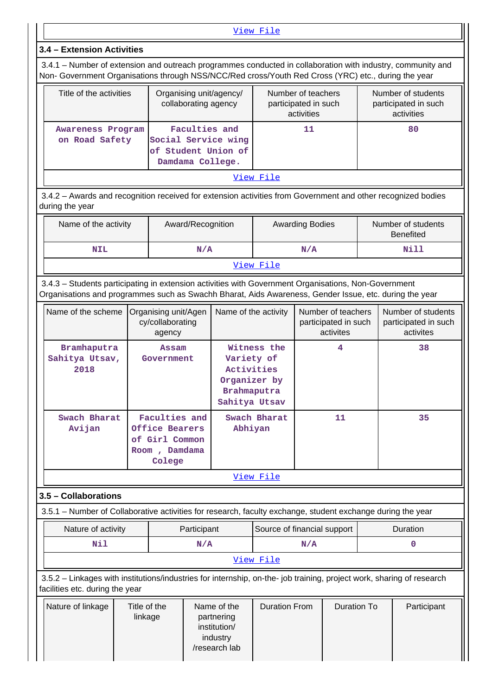[View File](https://assessmentonline.naac.gov.in/public/Postacc/Faculty_participation/13236_Faculty_participation_1630052619.xlsx)

#### **3.4 – Extension Activities**

 3.4.1 – Number of extension and outreach programmes conducted in collaboration with industry, community and Non- Government Organisations through NSS/NCC/Red cross/Youth Red Cross (YRC) etc., during the year

| Title of the activities             | Organising unit/agency/<br>collaborating agency                                 | Number of teachers<br>participated in such<br>activities | Number of students<br>participated in such<br>activities |  |  |  |
|-------------------------------------|---------------------------------------------------------------------------------|----------------------------------------------------------|----------------------------------------------------------|--|--|--|
| Awareness Program<br>on Road Safety | Faculties and<br>Social Service wing<br>of Student Union of<br>Damdama College. | 11                                                       | 80                                                       |  |  |  |
| ステミ エコレー せいき コーエー                   |                                                                                 |                                                          |                                                          |  |  |  |

[View File](https://assessmentonline.naac.gov.in/public/Postacc/Extension/13236_Extension_1632130458.xlsx)

 3.4.2 – Awards and recognition received for extension activities from Government and other recognized bodies during the year

| Name of the activity | Award/Recognition | <b>Awarding Bodies</b> | Number of students<br><b>Benefited</b> |  |  |  |
|----------------------|-------------------|------------------------|----------------------------------------|--|--|--|
| NIL                  | N/A               | N/A                    | Nill                                   |  |  |  |
| View File            |                   |                        |                                        |  |  |  |

 3.4.3 – Students participating in extension activities with Government Organisations, Non-Government Organisations and programmes such as Swachh Bharat, Aids Awareness, Gender Issue, etc. during the year

| Name of the scheme                    | Organising unit/Agen<br>cy/collaborating<br>agency                           | Name of the activity                                                                    | Number of teachers<br>participated in such<br>activites | Number of students<br>participated in such<br>activites |  |  |  |  |
|---------------------------------------|------------------------------------------------------------------------------|-----------------------------------------------------------------------------------------|---------------------------------------------------------|---------------------------------------------------------|--|--|--|--|
| Bramhaputra<br>Sahitya Utsav,<br>2018 | Assam<br>Government                                                          | Witness the<br>Variety of<br>Activities<br>Organizer by<br>Brahmaputra<br>Sahitya Utsav | 4                                                       | 38                                                      |  |  |  |  |
| Swach Bharat<br>Avijan                | Faculties and<br>Office Bearers<br>of Girl Common<br>Room, Damdama<br>Colege | Swach Bharat<br>Abhiyan                                                                 | 11                                                      | 35                                                      |  |  |  |  |
|                                       | View File                                                                    |                                                                                         |                                                         |                                                         |  |  |  |  |

**3.5 – Collaborations**

3.5.1 – Number of Collaborative activities for research, faculty exchange, student exchange during the year

| Nature of activity | Participant | Source of financial support | Duration |  |  |  |
|--------------------|-------------|-----------------------------|----------|--|--|--|
| Nil                | N/A         | N/A                         |          |  |  |  |
| View File          |             |                             |          |  |  |  |

 3.5.2 – Linkages with institutions/industries for internship, on-the- job training, project work, sharing of research facilities etc. during the year

| Nature of linkage | Title of the<br>linkage | Name of the<br>partnering<br>institution/<br>industry | Duration From | Duration To | Participant |
|-------------------|-------------------------|-------------------------------------------------------|---------------|-------------|-------------|
|                   |                         | /research lab                                         |               |             |             |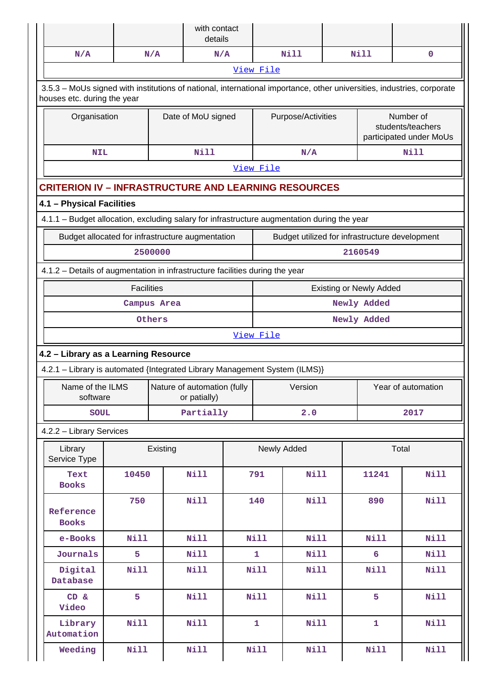|                                                                                                                                                       |                                                  |          | with contact<br>details                     |  |              |                    |  |                |                                                           |  |
|-------------------------------------------------------------------------------------------------------------------------------------------------------|--------------------------------------------------|----------|---------------------------------------------|--|--------------|--------------------|--|----------------|-----------------------------------------------------------|--|
| N/A                                                                                                                                                   |                                                  | N/A      | N/A                                         |  |              | <b>Nill</b>        |  | <b>Nill</b>    | 0                                                         |  |
|                                                                                                                                                       |                                                  |          |                                             |  | View File    |                    |  |                |                                                           |  |
| 3.5.3 - MoUs signed with institutions of national, international importance, other universities, industries, corporate<br>houses etc. during the year |                                                  |          |                                             |  |              |                    |  |                |                                                           |  |
|                                                                                                                                                       | Date of MoU signed<br>Organisation               |          |                                             |  |              | Purpose/Activities |  |                | Number of<br>students/teachers<br>participated under MoUs |  |
| <b>NIL</b>                                                                                                                                            |                                                  |          | Nill                                        |  |              | N/A                |  |                | <b>Nill</b>                                               |  |
|                                                                                                                                                       |                                                  |          |                                             |  | View File    |                    |  |                |                                                           |  |
| <b>CRITERION IV - INFRASTRUCTURE AND LEARNING RESOURCES</b>                                                                                           |                                                  |          |                                             |  |              |                    |  |                |                                                           |  |
| 4.1 - Physical Facilities                                                                                                                             |                                                  |          |                                             |  |              |                    |  |                |                                                           |  |
| 4.1.1 - Budget allocation, excluding salary for infrastructure augmentation during the year                                                           |                                                  |          |                                             |  |              |                    |  |                |                                                           |  |
|                                                                                                                                                       | Budget allocated for infrastructure augmentation |          |                                             |  |              |                    |  |                | Budget utilized for infrastructure development            |  |
|                                                                                                                                                       |                                                  | 2500000  |                                             |  |              |                    |  | 2160549        |                                                           |  |
| 4.1.2 - Details of augmentation in infrastructure facilities during the year                                                                          |                                                  |          |                                             |  |              |                    |  |                |                                                           |  |
| <b>Facilities</b><br><b>Existing or Newly Added</b>                                                                                                   |                                                  |          |                                             |  |              |                    |  |                |                                                           |  |
| Newly Added<br>Campus Area                                                                                                                            |                                                  |          |                                             |  |              |                    |  |                |                                                           |  |
|                                                                                                                                                       |                                                  | Others   |                                             |  |              |                    |  | Newly Added    |                                                           |  |
|                                                                                                                                                       |                                                  |          |                                             |  | View File    |                    |  |                |                                                           |  |
| 4.2 - Library as a Learning Resource                                                                                                                  |                                                  |          |                                             |  |              |                    |  |                |                                                           |  |
| 4.2.1 - Library is automated {Integrated Library Management System (ILMS)}                                                                            |                                                  |          |                                             |  |              |                    |  |                |                                                           |  |
| Name of the ILMS<br>software                                                                                                                          |                                                  |          | Nature of automation (fully<br>or patially) |  |              | Version            |  |                | Year of automation                                        |  |
| <b>SOUL</b>                                                                                                                                           |                                                  |          | Partially                                   |  |              | 2.0                |  |                | 2017                                                      |  |
| 4.2.2 - Library Services                                                                                                                              |                                                  |          |                                             |  |              |                    |  |                |                                                           |  |
| Library<br>Service Type                                                                                                                               |                                                  | Existing |                                             |  |              | Newly Added        |  |                | Total                                                     |  |
| Text<br><b>Books</b>                                                                                                                                  | 10450                                            |          | <b>Nill</b>                                 |  | 791          | <b>Nill</b>        |  | 11241          | <b>Nill</b>                                               |  |
| Reference<br><b>Books</b>                                                                                                                             | 750                                              |          | <b>Nill</b>                                 |  | 140          | <b>Nill</b>        |  | 890            | <b>Nill</b>                                               |  |
| e-Books                                                                                                                                               | Nill                                             |          | Nill                                        |  | <b>Nill</b>  | Nill               |  | <b>Nill</b>    | <b>Nill</b>                                               |  |
| Journals                                                                                                                                              | 5                                                |          | <b>Nill</b>                                 |  | $\mathbf{1}$ | Nill               |  | $6\phantom{a}$ | <b>Nill</b>                                               |  |
| Digital<br>Database                                                                                                                                   | <b>Nill</b>                                      |          | Nill                                        |  | <b>Nill</b>  | Nill               |  | Nill           | Nill                                                      |  |
| CD &<br>Video                                                                                                                                         | 5                                                |          | Nill                                        |  | <b>Nill</b>  | <b>Nill</b>        |  | 5              | Nill                                                      |  |
| Library<br>Automation                                                                                                                                 | <b>Nill</b>                                      |          | <b>Nill</b>                                 |  | $\mathbf{1}$ | Nill               |  | $\mathbf{1}$   | <b>Nill</b>                                               |  |
| Weeding                                                                                                                                               | <b>Nill</b>                                      |          | Nill                                        |  | <b>Nill</b>  | <b>Nill</b>        |  | <b>Nill</b>    | Nill                                                      |  |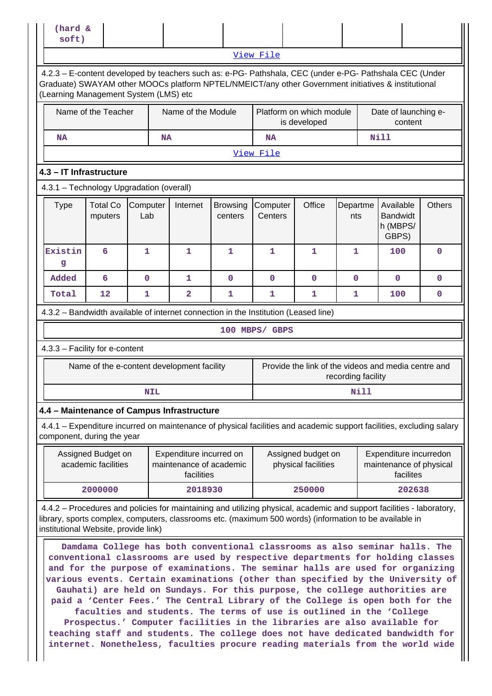| (hard &<br>soft)                                                                                                                                                                                                                                                         |                                                                                                                                                                                                                                                                                                                                                                                                                                                                                                                                                                            |                 |            |                                                                  |                            |                     |                                                     |                    |      |                                                   |                         |
|--------------------------------------------------------------------------------------------------------------------------------------------------------------------------------------------------------------------------------------------------------------------------|----------------------------------------------------------------------------------------------------------------------------------------------------------------------------------------------------------------------------------------------------------------------------------------------------------------------------------------------------------------------------------------------------------------------------------------------------------------------------------------------------------------------------------------------------------------------------|-----------------|------------|------------------------------------------------------------------|----------------------------|---------------------|-----------------------------------------------------|--------------------|------|---------------------------------------------------|-------------------------|
|                                                                                                                                                                                                                                                                          |                                                                                                                                                                                                                                                                                                                                                                                                                                                                                                                                                                            |                 |            |                                                                  |                            | View File           |                                                     |                    |      |                                                   |                         |
|                                                                                                                                                                                                                                                                          | 4.2.3 - E-content developed by teachers such as: e-PG- Pathshala, CEC (under e-PG- Pathshala CEC (Under<br>Graduate) SWAYAM other MOOCs platform NPTEL/NMEICT/any other Government initiatives & institutional<br>(Learning Management System (LMS) etc                                                                                                                                                                                                                                                                                                                    |                 |            |                                                                  |                            |                     |                                                     |                    |      |                                                   |                         |
|                                                                                                                                                                                                                                                                          | Name of the Teacher<br>Name of the Module<br>Platform on which module<br>Date of launching e-<br>is developed<br>content                                                                                                                                                                                                                                                                                                                                                                                                                                                   |                 |            |                                                                  |                            |                     |                                                     |                    |      |                                                   |                         |
| NA                                                                                                                                                                                                                                                                       | <b>Nill</b><br><b>NA</b><br><b>NA</b>                                                                                                                                                                                                                                                                                                                                                                                                                                                                                                                                      |                 |            |                                                                  |                            |                     |                                                     |                    |      |                                                   |                         |
|                                                                                                                                                                                                                                                                          |                                                                                                                                                                                                                                                                                                                                                                                                                                                                                                                                                                            |                 |            |                                                                  |                            | View File           |                                                     |                    |      |                                                   |                         |
| 4.3 - IT Infrastructure                                                                                                                                                                                                                                                  |                                                                                                                                                                                                                                                                                                                                                                                                                                                                                                                                                                            |                 |            |                                                                  |                            |                     |                                                     |                    |      |                                                   |                         |
| 4.3.1 - Technology Upgradation (overall)                                                                                                                                                                                                                                 |                                                                                                                                                                                                                                                                                                                                                                                                                                                                                                                                                                            |                 |            |                                                                  |                            |                     |                                                     |                    |      |                                                   |                         |
| <b>Type</b>                                                                                                                                                                                                                                                              | <b>Total Co</b><br>mputers                                                                                                                                                                                                                                                                                                                                                                                                                                                                                                                                                 | Computer<br>Lab |            | Internet                                                         | <b>Browsing</b><br>centers | Computer<br>Centers | Office                                              | Departme<br>nts    |      | Available<br><b>Bandwidt</b><br>h (MBPS/<br>GBPS) | <b>Others</b>           |
| Existin<br>g                                                                                                                                                                                                                                                             | 6                                                                                                                                                                                                                                                                                                                                                                                                                                                                                                                                                                          | 1               |            | 1                                                                | 1                          | 1                   | 1                                                   | 1                  |      | 100                                               | $\mathbf 0$             |
| Added                                                                                                                                                                                                                                                                    | 6                                                                                                                                                                                                                                                                                                                                                                                                                                                                                                                                                                          | $\mathbf 0$     |            | 1                                                                | $\mathbf 0$                | $\mathbf 0$         | $\mathbf 0$                                         | $\mathbf 0$        |      | $\mathbf 0$                                       | $\mathbf 0$             |
| Total                                                                                                                                                                                                                                                                    | 12                                                                                                                                                                                                                                                                                                                                                                                                                                                                                                                                                                         | 1               |            | $\overline{\mathbf{2}}$                                          | 1                          | $\mathbf 1$         | $\mathbf{1}$                                        | 1                  |      | 100                                               | $\mathbf 0$             |
| 4.3.2 - Bandwidth available of internet connection in the Institution (Leased line)                                                                                                                                                                                      |                                                                                                                                                                                                                                                                                                                                                                                                                                                                                                                                                                            |                 |            |                                                                  |                            |                     |                                                     |                    |      |                                                   |                         |
|                                                                                                                                                                                                                                                                          |                                                                                                                                                                                                                                                                                                                                                                                                                                                                                                                                                                            |                 |            |                                                                  |                            | 100 MBPS/ GBPS      |                                                     |                    |      |                                                   |                         |
| 4.3.3 - Facility for e-content                                                                                                                                                                                                                                           |                                                                                                                                                                                                                                                                                                                                                                                                                                                                                                                                                                            |                 |            |                                                                  |                            |                     |                                                     |                    |      |                                                   |                         |
|                                                                                                                                                                                                                                                                          | Name of the e-content development facility                                                                                                                                                                                                                                                                                                                                                                                                                                                                                                                                 |                 |            |                                                                  |                            |                     | Provide the link of the videos and media centre and | recording facility |      |                                                   |                         |
|                                                                                                                                                                                                                                                                          |                                                                                                                                                                                                                                                                                                                                                                                                                                                                                                                                                                            |                 | <b>NIL</b> |                                                                  |                            |                     |                                                     |                    | Nill |                                                   |                         |
| 4.4 - Maintenance of Campus Infrastructure                                                                                                                                                                                                                               |                                                                                                                                                                                                                                                                                                                                                                                                                                                                                                                                                                            |                 |            |                                                                  |                            |                     |                                                     |                    |      |                                                   |                         |
| 4.4.1 – Expenditure incurred on maintenance of physical facilities and academic support facilities, excluding salary<br>component, during the year                                                                                                                       |                                                                                                                                                                                                                                                                                                                                                                                                                                                                                                                                                                            |                 |            |                                                                  |                            |                     |                                                     |                    |      |                                                   |                         |
|                                                                                                                                                                                                                                                                          | Assigned Budget on<br>academic facilities                                                                                                                                                                                                                                                                                                                                                                                                                                                                                                                                  |                 |            | Expenditure incurred on<br>maintenance of academic<br>facilities |                            |                     | Assigned budget on<br>physical facilities           |                    |      | Expenditure incurredon<br>facilites               | maintenance of physical |
|                                                                                                                                                                                                                                                                          | 2000000                                                                                                                                                                                                                                                                                                                                                                                                                                                                                                                                                                    |                 |            | 2018930                                                          |                            |                     | 250000                                              |                    |      | 202638                                            |                         |
| 4.4.2 – Procedures and policies for maintaining and utilizing physical, academic and support facilities - laboratory,<br>library, sports complex, computers, classrooms etc. (maximum 500 words) (information to be available in<br>institutional Website, provide link) |                                                                                                                                                                                                                                                                                                                                                                                                                                                                                                                                                                            |                 |            |                                                                  |                            |                     |                                                     |                    |      |                                                   |                         |
|                                                                                                                                                                                                                                                                          | Damdama College has both conventional classrooms as also seminar halls. The<br>conventional classrooms are used by respective departments for holding classes<br>and for the purpose of examinations. The seminar halls are used for organizing<br>various events. Certain examinations (other than specified by the University of<br>Gauhati) are held on Sundays. For this purpose, the college authorities are<br>paid a 'Center Fees.' The Central Library of the College is open both for the<br>faculties and students. The terms of use is outlined in the 'College |                 |            |                                                                  |                            |                     |                                                     |                    |      |                                                   |                         |

**Prospectus.' Computer facilities in the libraries are also available for teaching staff and students. The college does not have dedicated bandwidth for internet. Nonetheless, faculties procure reading materials from the world wide**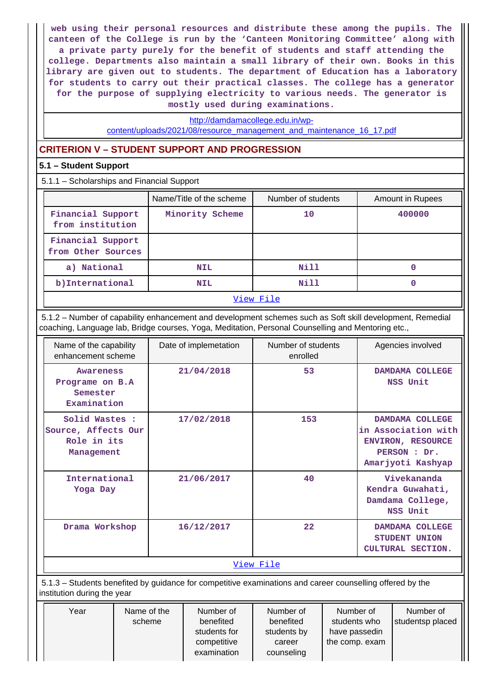**web using their personal resources and distribute these among the pupils. The canteen of the College is run by the 'Canteen Monitoring Committee' along with a private party purely for the benefit of students and staff attending the college. Departments also maintain a small library of their own. Books in this library are given out to students. The department of Education has a laboratory for students to carry out their practical classes. The college has a generator for the purpose of supplying electricity to various needs. The generator is mostly used during examinations.**

[http://damdamacollege.edu.in/wp-](http://damdamacollege.edu.in/wp-content/uploads/2021/08/resource_management_and_maintenance_16_17.pdf)

[content/uploads/2021/08/resource\\_management\\_and\\_maintenance\\_16\\_17.pdf](http://damdamacollege.edu.in/wp-content/uploads/2021/08/resource_management_and_maintenance_16_17.pdf)

### **CRITERION V – STUDENT SUPPORT AND PROGRESSION**

#### **5.1 – Student Support**

5.1.1 – Scholarships and Financial Support

|                                         | Name/Title of the scheme | Number of students | Amount in Rupees |  |  |  |
|-----------------------------------------|--------------------------|--------------------|------------------|--|--|--|
| Financial Support<br>from institution   | Minority Scheme          | 10                 | 400000           |  |  |  |
| Financial Support<br>from Other Sources |                          |                    |                  |  |  |  |
| a) National                             | <b>NIL</b>               | Nill               | 0                |  |  |  |
| b) International                        | <b>NIL</b>               | Nill               | 0                |  |  |  |
| View File                               |                          |                    |                  |  |  |  |

 5.1.2 – Number of capability enhancement and development schemes such as Soft skill development, Remedial coaching, Language lab, Bridge courses, Yoga, Meditation, Personal Counselling and Mentoring etc.,

| Name of the capability<br>enhancement scheme                       | Date of implemetation | Number of students<br>enrolled | Agencies involved                                                                                       |
|--------------------------------------------------------------------|-----------------------|--------------------------------|---------------------------------------------------------------------------------------------------------|
| <b>Awareness</b><br>Programe on B.A<br>Semester<br>Examination     | 21/04/2018            | 53                             | DAMDAMA COLLEGE<br>NSS Unit                                                                             |
| Solid Wastes :<br>Source, Affects Our<br>Role in its<br>Management | 17/02/2018            | 153                            | DAMDAMA COLLEGE<br>in Association with<br><b>ENVIRON, RESOURCE</b><br>PERSON : Dr.<br>Amarjyoti Kashyap |
| International<br>Yoga Day                                          | 21/06/2017            | 40                             | Vivekananda<br>Kendra Guwahati,<br>Damdama College,<br>NSS Unit                                         |
| Drama Workshop                                                     | 16/12/2017            | 22                             | DAMDAMA COLLEGE<br>STUDENT UNION<br><b>CULTURAL SECTION.</b>                                            |
|                                                                    |                       | View File                      |                                                                                                         |

 5.1.3 – Students benefited by guidance for competitive examinations and career counselling offered by the institution during the year

| Year | Name of the | Number of    | Number of   | Number of      | Number of        |
|------|-------------|--------------|-------------|----------------|------------------|
|      | scheme      | benefited    | benefited   | students who   | studentsp placed |
|      |             | students for | students by | have passedin  |                  |
|      |             | competitive  | career      | the comp. exam |                  |
|      |             | examination  | counseling  |                |                  |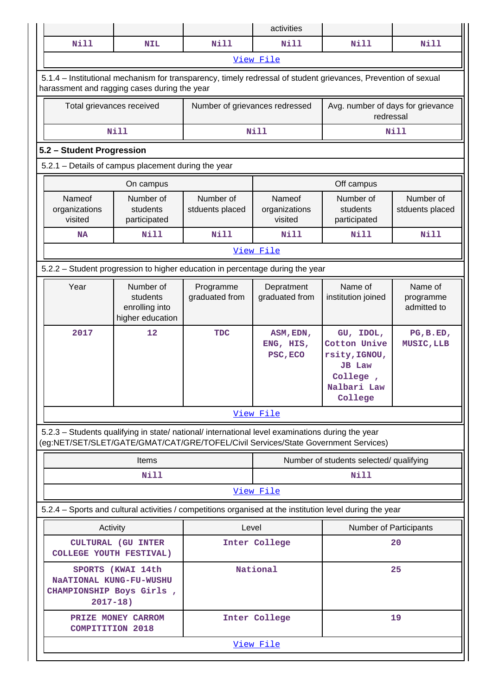|                                                                               |                                                                                           |                                                                                                                                                                                        |                                | activities                         |                                                                                                                |                                     |
|-------------------------------------------------------------------------------|-------------------------------------------------------------------------------------------|----------------------------------------------------------------------------------------------------------------------------------------------------------------------------------------|--------------------------------|------------------------------------|----------------------------------------------------------------------------------------------------------------|-------------------------------------|
| <b>Nill</b>                                                                   |                                                                                           | <b>NIL</b>                                                                                                                                                                             | <b>Nill</b>                    | <b>Nill</b>                        | <b>Nill</b>                                                                                                    | <b>Nill</b>                         |
|                                                                               |                                                                                           |                                                                                                                                                                                        |                                | View File                          |                                                                                                                |                                     |
|                                                                               |                                                                                           | harassment and ragging cases during the year                                                                                                                                           |                                |                                    | 5.1.4 – Institutional mechanism for transparency, timely redressal of student grievances, Prevention of sexual |                                     |
|                                                                               | Total grievances received                                                                 |                                                                                                                                                                                        | Number of grievances redressed |                                    | Avg. number of days for grievance<br>redressal                                                                 |                                     |
|                                                                               |                                                                                           | <b>Nill</b>                                                                                                                                                                            |                                | Nill                               |                                                                                                                | Nill                                |
| 5.2 - Student Progression                                                     |                                                                                           |                                                                                                                                                                                        |                                |                                    |                                                                                                                |                                     |
|                                                                               |                                                                                           | 5.2.1 - Details of campus placement during the year                                                                                                                                    |                                |                                    |                                                                                                                |                                     |
|                                                                               |                                                                                           | On campus                                                                                                                                                                              |                                |                                    | Off campus                                                                                                     |                                     |
| Nameof<br>organizations<br>visited                                            |                                                                                           | Number of<br>students<br>participated                                                                                                                                                  | Number of<br>stduents placed   | Nameof<br>organizations<br>visited | Number of<br>students<br>participated                                                                          | Number of<br>stduents placed        |
| <b>NA</b>                                                                     |                                                                                           | Nill                                                                                                                                                                                   | <b>Nill</b>                    | Nill                               | <b>Nill</b>                                                                                                    | Nill                                |
|                                                                               |                                                                                           |                                                                                                                                                                                        |                                | View File                          |                                                                                                                |                                     |
| 5.2.2 - Student progression to higher education in percentage during the year |                                                                                           |                                                                                                                                                                                        |                                |                                    |                                                                                                                |                                     |
| Year                                                                          |                                                                                           | Number of<br>students<br>enrolling into<br>higher education                                                                                                                            | Programme<br>graduated from    | Depratment<br>graduated from       | Name of<br>institution joined                                                                                  | Name of<br>programme<br>admitted to |
| 2017                                                                          |                                                                                           | 12                                                                                                                                                                                     | <b>TDC</b>                     | ASM, EDN,<br>ENG, HIS,<br>PSC, ECO | GU, IDOL,<br>Cotton Unive<br>rsity, IGNOU,<br><b>JB</b> Law<br>College,<br>Nalbari Law<br>College              | PG, B.ED,<br>MUSIC, LLB             |
|                                                                               |                                                                                           |                                                                                                                                                                                        |                                | View File                          |                                                                                                                |                                     |
|                                                                               |                                                                                           | 5.2.3 - Students qualifying in state/ national/ international level examinations during the year<br>(eg:NET/SET/SLET/GATE/GMAT/CAT/GRE/TOFEL/Civil Services/State Government Services) |                                |                                    |                                                                                                                |                                     |
|                                                                               |                                                                                           | Items                                                                                                                                                                                  |                                |                                    | Number of students selected/ qualifying                                                                        |                                     |
|                                                                               |                                                                                           | <b>Nill</b>                                                                                                                                                                            |                                |                                    | <b>Nill</b>                                                                                                    |                                     |
|                                                                               |                                                                                           |                                                                                                                                                                                        |                                | View File                          |                                                                                                                |                                     |
|                                                                               |                                                                                           |                                                                                                                                                                                        |                                |                                    | 5.2.4 - Sports and cultural activities / competitions organised at the institution level during the year       |                                     |
| Activity                                                                      |                                                                                           | Level                                                                                                                                                                                  |                                | Number of Participants             |                                                                                                                |                                     |
| <b>CULTURAL (GU INTER</b><br>COLLEGE YOUTH FESTIVAL)                          |                                                                                           |                                                                                                                                                                                        | Inter College                  | 20                                 |                                                                                                                |                                     |
|                                                                               | SPORTS (KWAI 14th<br>NaATIONAL KUNG-FU-WUSHU<br>CHAMPIONSHIP Boys Girls,<br>$2017 - 18$ ) |                                                                                                                                                                                        |                                | National                           |                                                                                                                | 25                                  |
|                                                                               |                                                                                           | PRIZE MONEY CARROM<br><b>COMPITITION 2018</b>                                                                                                                                          |                                | Inter College                      | 19                                                                                                             |                                     |
|                                                                               | View File                                                                                 |                                                                                                                                                                                        |                                |                                    |                                                                                                                |                                     |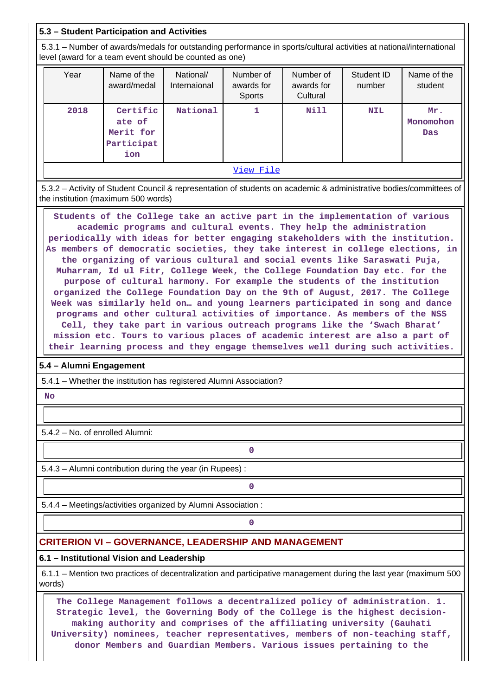#### **5.3 – Student Participation and Activities**

 5.3.1 – Number of awards/medals for outstanding performance in sports/cultural activities at national/international level (award for a team event should be counted as one)

| Year | Name of the<br>award/medal                           | National/<br>Internaional | Number of<br>awards for<br><b>Sports</b> | Number of<br>awards for<br>Cultural | Student ID<br>number | Name of the<br>student  |
|------|------------------------------------------------------|---------------------------|------------------------------------------|-------------------------------------|----------------------|-------------------------|
| 2018 | Certific<br>ate of<br>Merit for<br>Participat<br>ion | National                  |                                          | Nill                                | <b>NIL</b>           | Mr.<br>Monomohon<br>Das |
|      | View File                                            |                           |                                          |                                     |                      |                         |

 5.3.2 – Activity of Student Council & representation of students on academic & administrative bodies/committees of the institution (maximum 500 words)

 **Students of the College take an active part in the implementation of various academic programs and cultural events. They help the administration periodically with ideas for better engaging stakeholders with the institution. As members of democratic societies, they take interest in college elections, in the organizing of various cultural and social events like Saraswati Puja, Muharram, Id ul Fitr, College Week, the College Foundation Day etc. for the purpose of cultural harmony. For example the students of the institution organized the College Foundation Day on the 9th of August, 2017. The College Week was similarly held on… and young learners participated in song and dance programs and other cultural activities of importance. As members of the NSS Cell, they take part in various outreach programs like the 'Swach Bharat' mission etc. Tours to various places of academic interest are also a part of their learning process and they engage themselves well during such activities.**

#### **5.4 – Alumni Engagement**

5.4.1 – Whether the institution has registered Alumni Association?

 **No**

5.4.2 – No. of enrolled Alumni:

5.4.3 – Alumni contribution during the year (in Rupees) :

**0**

**0**

5.4.4 – Meetings/activities organized by Alumni Association :

**0**

### **CRITERION VI – GOVERNANCE, LEADERSHIP AND MANAGEMENT**

#### **6.1 – Institutional Vision and Leadership**

 6.1.1 – Mention two practices of decentralization and participative management during the last year (maximum 500 words)

 **The College Management follows a decentralized policy of administration. 1. Strategic level, the Governing Body of the College is the highest decisionmaking authority and comprises of the affiliating university (Gauhati University) nominees, teacher representatives, members of non-teaching staff, donor Members and Guardian Members. Various issues pertaining to the**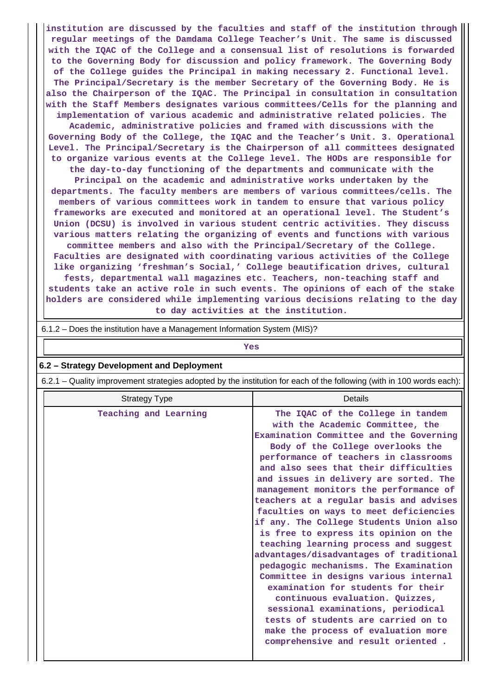**institution are discussed by the faculties and staff of the institution through regular meetings of the Damdama College Teacher's Unit. The same is discussed with the IQAC of the College and a consensual list of resolutions is forwarded to the Governing Body for discussion and policy framework. The Governing Body of the College guides the Principal in making necessary 2. Functional level. The Principal/Secretary is the member Secretary of the Governing Body. He is also the Chairperson of the IQAC. The Principal in consultation in consultation with the Staff Members designates various committees/Cells for the planning and implementation of various academic and administrative related policies. The**

**Academic, administrative policies and framed with discussions with the Governing Body of the College, the IQAC and the Teacher's Unit. 3. Operational Level. The Principal/Secretary is the Chairperson of all committees designated to organize various events at the College level. The HODs are responsible for**

**the day-to-day functioning of the departments and communicate with the Principal on the academic and administrative works undertaken by the departments. The faculty members are members of various committees/cells. The members of various committees work in tandem to ensure that various policy frameworks are executed and monitored at an operational level. The Student's Union (DCSU) is involved in various student centric activities. They discuss various matters relating the organizing of events and functions with various committee members and also with the Principal/Secretary of the College. Faculties are designated with coordinating various activities of the College like organizing 'freshman's Social,' College beautification drives, cultural fests, departmental wall magazines etc. Teachers, non-teaching staff and students take an active role in such events. The opinions of each of the stake holders are considered while implementing various decisions relating to the day to day activities at the institution.**

| 6.1.2 – Does the institution have a Management Information System (MIS)?                                              |                                                                                                                                                                                                                                                                                                                                                                                                                                                                                                                                                                                                                                                                                                                                                                                                                                                                                                               |  |  |  |  |
|-----------------------------------------------------------------------------------------------------------------------|---------------------------------------------------------------------------------------------------------------------------------------------------------------------------------------------------------------------------------------------------------------------------------------------------------------------------------------------------------------------------------------------------------------------------------------------------------------------------------------------------------------------------------------------------------------------------------------------------------------------------------------------------------------------------------------------------------------------------------------------------------------------------------------------------------------------------------------------------------------------------------------------------------------|--|--|--|--|
| Yes                                                                                                                   |                                                                                                                                                                                                                                                                                                                                                                                                                                                                                                                                                                                                                                                                                                                                                                                                                                                                                                               |  |  |  |  |
| 6.2 - Strategy Development and Deployment                                                                             |                                                                                                                                                                                                                                                                                                                                                                                                                                                                                                                                                                                                                                                                                                                                                                                                                                                                                                               |  |  |  |  |
| 6.2.1 – Quality improvement strategies adopted by the institution for each of the following (with in 100 words each): |                                                                                                                                                                                                                                                                                                                                                                                                                                                                                                                                                                                                                                                                                                                                                                                                                                                                                                               |  |  |  |  |
| <b>Details</b><br><b>Strategy Type</b>                                                                                |                                                                                                                                                                                                                                                                                                                                                                                                                                                                                                                                                                                                                                                                                                                                                                                                                                                                                                               |  |  |  |  |
| Teaching and Learning                                                                                                 | The IQAC of the College in tandem<br>with the Academic Committee, the<br>Examination Committee and the Governing<br>Body of the College overlooks the<br>performance of teachers in classrooms<br>and also sees that their difficulties<br>and issues in delivery are sorted. The<br>management monitors the performance of<br>teachers at a regular basis and advises<br>faculties on ways to meet deficiencies<br>if any. The College Students Union also<br>is free to express its opinion on the<br>teaching learning process and suggest<br>advantages/disadvantages of traditional<br>pedagogic mechanisms. The Examination<br>Committee in designs various internal<br>examination for students for their<br>continuous evaluation. Quizzes,<br>sessional examinations, periodical<br>tests of students are carried on to<br>make the process of evaluation more<br>comprehensive and result oriented. |  |  |  |  |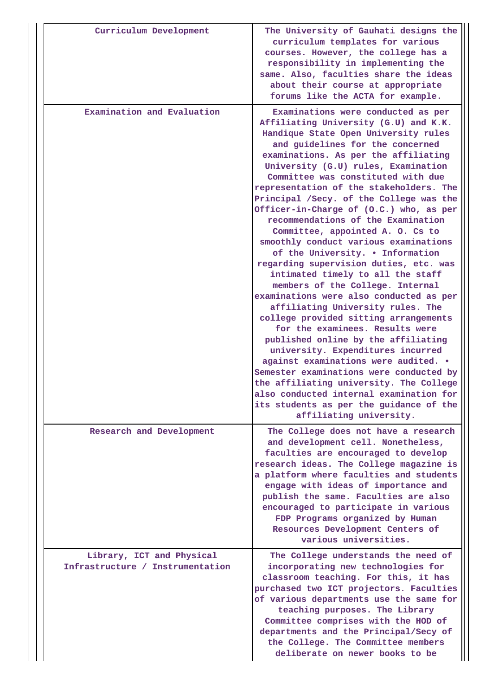| Curriculum Development                                        | The University of Gauhati designs the<br>curriculum templates for various<br>courses. However, the college has a<br>responsibility in implementing the<br>same. Also, faculties share the ideas<br>about their course at appropriate<br>forums like the ACTA for example.                                                                                                                                                                                                                                                                                                                                                                                                                                                                                                                                                                                                                                                                                                                                                                                                                                                                                                      |
|---------------------------------------------------------------|--------------------------------------------------------------------------------------------------------------------------------------------------------------------------------------------------------------------------------------------------------------------------------------------------------------------------------------------------------------------------------------------------------------------------------------------------------------------------------------------------------------------------------------------------------------------------------------------------------------------------------------------------------------------------------------------------------------------------------------------------------------------------------------------------------------------------------------------------------------------------------------------------------------------------------------------------------------------------------------------------------------------------------------------------------------------------------------------------------------------------------------------------------------------------------|
| Examination and Evaluation                                    | Examinations were conducted as per<br>Affiliating University (G.U) and K.K.<br>Handique State Open University rules<br>and guidelines for the concerned<br>examinations. As per the affiliating<br>University (G.U) rules, Examination<br>Committee was constituted with due<br>representation of the stakeholders. The<br>Principal /Secy. of the College was the<br>Officer-in-Charge of (O.C.) who, as per<br>recommendations of the Examination<br>Committee, appointed A. O. Cs to<br>smoothly conduct various examinations<br>of the University. . Information<br>regarding supervision duties, etc. was<br>intimated timely to all the staff<br>members of the College. Internal<br>examinations were also conducted as per<br>affiliating University rules. The<br>college provided sitting arrangements<br>for the examinees. Results were<br>published online by the affiliating<br>university. Expenditures incurred<br>against examinations were audited. .<br>Semester examinations were conducted by<br>the affiliating university. The College<br>also conducted internal examination for<br>its students as per the guidance of the<br>affiliating university. |
| Research and Development                                      | The College does not have a research<br>and development cell. Nonetheless,<br>faculties are encouraged to develop<br>research ideas. The College magazine is<br>a platform where faculties and students<br>engage with ideas of importance and<br>publish the same. Faculties are also<br>encouraged to participate in various<br>FDP Programs organized by Human<br>Resources Development Centers of<br>various universities.                                                                                                                                                                                                                                                                                                                                                                                                                                                                                                                                                                                                                                                                                                                                                 |
| Library, ICT and Physical<br>Infrastructure / Instrumentation | The College understands the need of<br>incorporating new technologies for<br>classroom teaching. For this, it has<br>purchased two ICT projectors. Faculties<br>of various departments use the same for<br>teaching purposes. The Library<br>Committee comprises with the HOD of<br>departments and the Principal/Secy of<br>the College. The Committee members<br>deliberate on newer books to be                                                                                                                                                                                                                                                                                                                                                                                                                                                                                                                                                                                                                                                                                                                                                                             |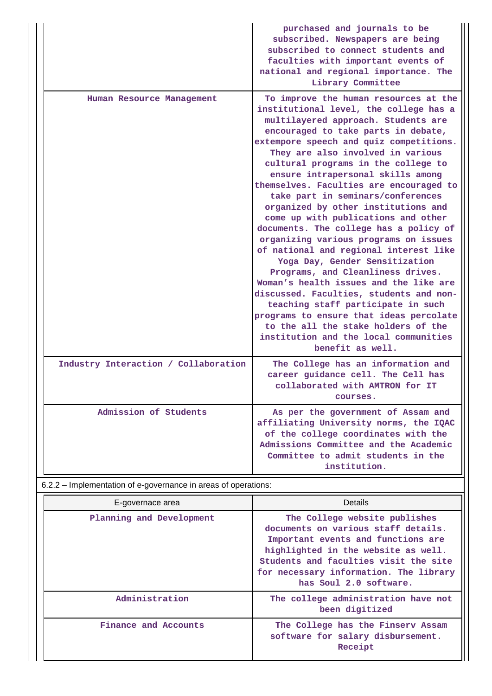|                                                                | purchased and journals to be<br>subscribed. Newspapers are being<br>subscribed to connect students and<br>faculties with important events of<br>national and regional importance. The<br>Library Committee                                                                                                                                                                                                                                                                                                                                                                                                                                                                                                                                                                                                                                                                                                                                                            |
|----------------------------------------------------------------|-----------------------------------------------------------------------------------------------------------------------------------------------------------------------------------------------------------------------------------------------------------------------------------------------------------------------------------------------------------------------------------------------------------------------------------------------------------------------------------------------------------------------------------------------------------------------------------------------------------------------------------------------------------------------------------------------------------------------------------------------------------------------------------------------------------------------------------------------------------------------------------------------------------------------------------------------------------------------|
| Human Resource Management                                      | To improve the human resources at the<br>institutional level, the college has a<br>multilayered approach. Students are<br>encouraged to take parts in debate,<br>extempore speech and quiz competitions.<br>They are also involved in various<br>cultural programs in the college to<br>ensure intrapersonal skills among<br>themselves. Faculties are encouraged to<br>take part in seminars/conferences<br>organized by other institutions and<br>come up with publications and other<br>documents. The college has a policy of<br>organizing various programs on issues<br>of national and regional interest like<br>Yoga Day, Gender Sensitization<br>Programs, and Cleanliness drives.<br>Woman's health issues and the like are<br>discussed. Faculties, students and non-<br>teaching staff participate in such<br>programs to ensure that ideas percolate<br>to the all the stake holders of the<br>institution and the local communities<br>benefit as well. |
| Industry Interaction / Collaboration                           | The College has an information and<br>career guidance cell. The Cell has<br>collaborated with AMTRON for IT<br>courses.                                                                                                                                                                                                                                                                                                                                                                                                                                                                                                                                                                                                                                                                                                                                                                                                                                               |
| Admission of Students                                          | As per the government of Assam and<br>affiliating University norms, the IQAC<br>of the college coordinates with the<br>Admissions Committee and the Academic<br>Committee to admit students in the<br>institution.                                                                                                                                                                                                                                                                                                                                                                                                                                                                                                                                                                                                                                                                                                                                                    |
| 6.2.2 – Implementation of e-governance in areas of operations: |                                                                                                                                                                                                                                                                                                                                                                                                                                                                                                                                                                                                                                                                                                                                                                                                                                                                                                                                                                       |
| E-governace area                                               | <b>Details</b>                                                                                                                                                                                                                                                                                                                                                                                                                                                                                                                                                                                                                                                                                                                                                                                                                                                                                                                                                        |
| Planning and Development                                       | The College website publishes<br>documents on various staff details.<br>Important events and functions are<br>highlighted in the website as well.<br>Students and faculties visit the site<br>for necessary information. The library<br>has Soul 2.0 software.                                                                                                                                                                                                                                                                                                                                                                                                                                                                                                                                                                                                                                                                                                        |
| Administration                                                 | The college administration have not<br>been digitized                                                                                                                                                                                                                                                                                                                                                                                                                                                                                                                                                                                                                                                                                                                                                                                                                                                                                                                 |
| Finance and Accounts                                           | The College has the Finserv Assam<br>software for salary disbursement.<br>Receipt                                                                                                                                                                                                                                                                                                                                                                                                                                                                                                                                                                                                                                                                                                                                                                                                                                                                                     |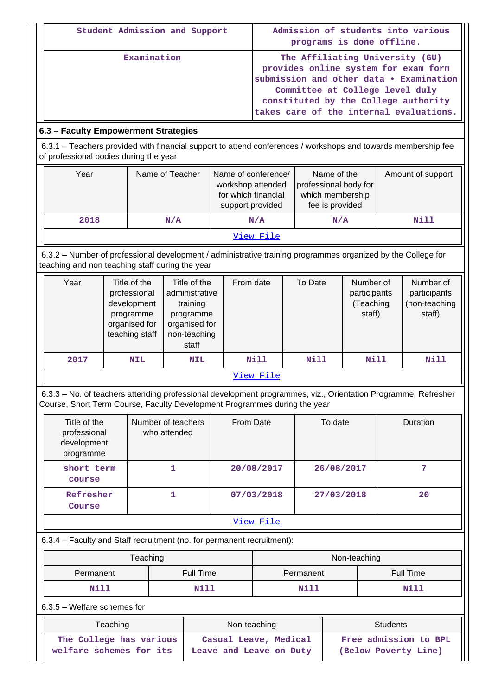| Student Admission and Support | Admission of students into various<br>programs is done offline.                                                                                                                                                                          |
|-------------------------------|------------------------------------------------------------------------------------------------------------------------------------------------------------------------------------------------------------------------------------------|
| Examination                   | The Affiliating University (GU)<br>provides online system for exam form<br>submission and other data . Examination<br>Committee at College level duly<br>constituted by the College authority<br>takes care of the internal evaluations. |

### **6.3 – Faculty Empowerment Strategies**

 6.3.1 – Teachers provided with financial support to attend conferences / workshops and towards membership fee of professional bodies during the year

| Year      | Name of Teacher | Name of conference/<br>workshop attended<br>for which financial<br>support provided | Name of the<br>professional body for<br>which membership<br>fee is provided | Amount of support |
|-----------|-----------------|-------------------------------------------------------------------------------------|-----------------------------------------------------------------------------|-------------------|
| 2018      | N/A             | N/A                                                                                 | N/A                                                                         | Nill              |
| View File |                 |                                                                                     |                                                                             |                   |

 6.3.2 – Number of professional development / administrative training programmes organized by the College for teaching and non teaching staff during the year

| Year      | Title of the<br>professional<br>development<br>programme<br>organised for<br>teaching staff | Title of the<br>administrative<br>training<br>programme<br>organised for<br>non-teaching<br>staff | From date | To Date | Number of<br>participants<br>(Teaching<br>staff) | Number of<br>participants<br>(non-teaching<br>staff) |
|-----------|---------------------------------------------------------------------------------------------|---------------------------------------------------------------------------------------------------|-----------|---------|--------------------------------------------------|------------------------------------------------------|
| 2017      | <b>NIL</b>                                                                                  | <b>NIL</b>                                                                                        | Nill      | Nill    | Nill                                             | Nill                                                 |
| View File |                                                                                             |                                                                                                   |           |         |                                                  |                                                      |

 6.3.3 – No. of teachers attending professional development programmes, viz., Orientation Programme, Refresher Course, Short Term Course, Faculty Development Programmes during the year

| Title of the<br>professional<br>development<br>programme | Number of teachers<br>who attended | From Date  | To date    | Duration |
|----------------------------------------------------------|------------------------------------|------------|------------|----------|
| short term<br>course                                     |                                    | 20/08/2017 | 26/08/2017 | ⇁        |
| Refresher<br>Course                                      |                                    | 07/03/2018 | 27/03/2018 | 20       |
|                                                          |                                    | View File  |            |          |

#### 6.3.4 – Faculty and Staff recruitment (no. for permanent recruitment):

|           | Teaching  | Non-teaching |                  |
|-----------|-----------|--------------|------------------|
| Permanent | Full Time | Permanent    | <b>Full Time</b> |
| Nill      | Nill      | Nill         | Nill             |

6.3.5 – Welfare schemes for

| Teaching                | Non-teaching            | <b>Students</b>       |  |
|-------------------------|-------------------------|-----------------------|--|
| The College has various | Casual Leave, Medical   | Free admission to BPL |  |
| welfare schemes for its | Leave and Leave on Duty | (Below Poverty Line)  |  |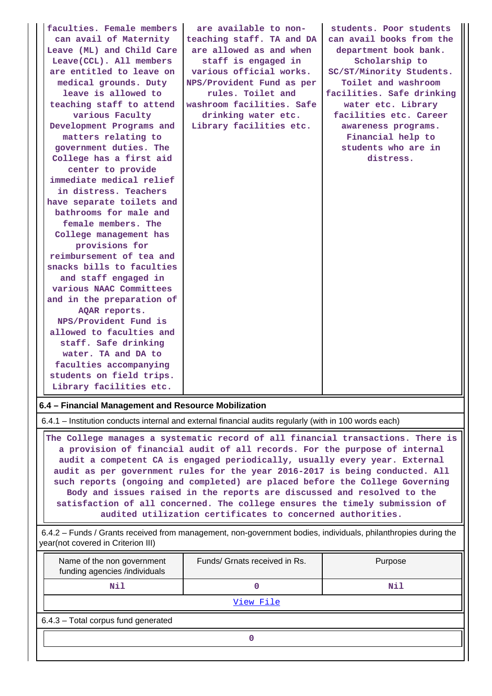| faculties. Female members<br>can avail of Maternity<br>Leave (ML) and Child Care<br>Leave(CCL). All members<br>are entitled to leave on<br>medical grounds. Duty<br>leave is allowed to<br>teaching staff to attend<br>various Faculty<br>Development Programs and<br>matters relating to<br>government duties. The<br>College has a first aid<br>center to provide<br>immediate medical relief<br>in distress. Teachers<br>have separate toilets and<br>bathrooms for male and<br>female members. The<br>College management has<br>provisions for<br>reimbursement of tea and<br>snacks bills to faculties<br>and staff engaged in<br>various NAAC Committees<br>and in the preparation of<br>AQAR reports.<br>NPS/Provident Fund is<br>allowed to faculties and<br>staff. Safe drinking<br>water. TA and DA to<br>faculties accompanying | are available to non-<br>teaching staff. TA and DA<br>are allowed as and when<br>staff is engaged in<br>various official works.<br>NPS/Provident Fund as per<br>rules. Toilet and<br>washroom facilities. Safe<br>drinking water etc.<br>Library facilities etc. | students. Poor students<br>can avail books from the<br>department book bank.<br>Scholarship to<br>SC/ST/Minority Students.<br>Toilet and washroom<br>facilities. Safe drinking<br>water etc. Library<br>facilities etc. Career<br>awareness programs.<br>Financial help to<br>students who are in<br>distress. |
|--------------------------------------------------------------------------------------------------------------------------------------------------------------------------------------------------------------------------------------------------------------------------------------------------------------------------------------------------------------------------------------------------------------------------------------------------------------------------------------------------------------------------------------------------------------------------------------------------------------------------------------------------------------------------------------------------------------------------------------------------------------------------------------------------------------------------------------------|------------------------------------------------------------------------------------------------------------------------------------------------------------------------------------------------------------------------------------------------------------------|----------------------------------------------------------------------------------------------------------------------------------------------------------------------------------------------------------------------------------------------------------------------------------------------------------------|
| students on field trips.<br>Library facilities etc.                                                                                                                                                                                                                                                                                                                                                                                                                                                                                                                                                                                                                                                                                                                                                                                        |                                                                                                                                                                                                                                                                  |                                                                                                                                                                                                                                                                                                                |

**6.4 – Financial Management and Resource Mobilization**

6.4.1 – Institution conducts internal and external financial audits regularly (with in 100 words each)

 **The College manages a systematic record of all financial transactions. There is a provision of financial audit of all records. For the purpose of internal audit a competent CA is engaged periodically, usually every year. External audit as per government rules for the year 2016-2017 is being conducted. All such reports (ongoing and completed) are placed before the College Governing Body and issues raised in the reports are discussed and resolved to the satisfaction of all concerned. The college ensures the timely submission of audited utilization certificates to concerned authorities.**

 6.4.2 – Funds / Grants received from management, non-government bodies, individuals, philanthropies during the year(not covered in Criterion III)

| Name of the non government<br>funding agencies /individuals | Funds/ Grnats received in Rs. | Purpose |  |  |  |  |  |  |
|-------------------------------------------------------------|-------------------------------|---------|--|--|--|--|--|--|
| Nil                                                         |                               | Nil     |  |  |  |  |  |  |
| View File                                                   |                               |         |  |  |  |  |  |  |
| 6.4.3 - Total corpus fund generated                         |                               |         |  |  |  |  |  |  |
|                                                             |                               |         |  |  |  |  |  |  |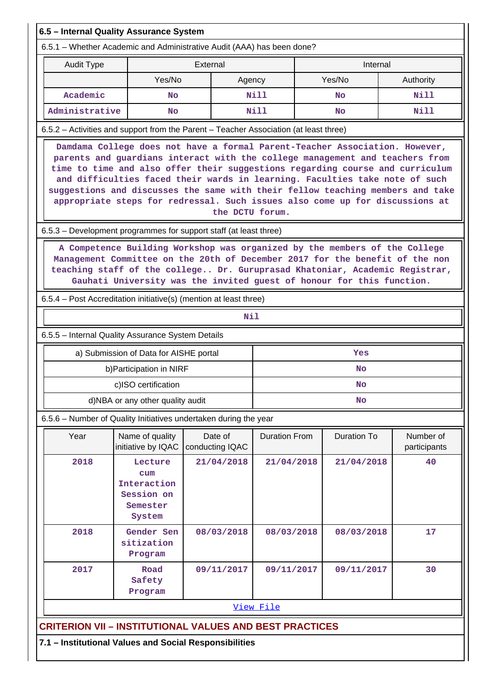| 6.5 - Internal Quality Assurance System                                                                                                                                                                                                                                                                                                                                                                                                                                                                          |                                                                   |                            |                      |                    |                           |  |  |  |  |  |
|------------------------------------------------------------------------------------------------------------------------------------------------------------------------------------------------------------------------------------------------------------------------------------------------------------------------------------------------------------------------------------------------------------------------------------------------------------------------------------------------------------------|-------------------------------------------------------------------|----------------------------|----------------------|--------------------|---------------------------|--|--|--|--|--|
| 6.5.1 – Whether Academic and Administrative Audit (AAA) has been done?                                                                                                                                                                                                                                                                                                                                                                                                                                           |                                                                   |                            |                      |                    |                           |  |  |  |  |  |
| Audit Type                                                                                                                                                                                                                                                                                                                                                                                                                                                                                                       |                                                                   | External                   |                      |                    |                           |  |  |  |  |  |
|                                                                                                                                                                                                                                                                                                                                                                                                                                                                                                                  | Yes/No                                                            |                            | Agency               | Yes/No             | Authority                 |  |  |  |  |  |
| Academic                                                                                                                                                                                                                                                                                                                                                                                                                                                                                                         | Nill<br><b>No</b>                                                 |                            |                      | No                 | Nill                      |  |  |  |  |  |
| Administrative                                                                                                                                                                                                                                                                                                                                                                                                                                                                                                   | <b>No</b>                                                         |                            | Nill                 | <b>No</b>          | Nill                      |  |  |  |  |  |
| 6.5.2 - Activities and support from the Parent - Teacher Association (at least three)                                                                                                                                                                                                                                                                                                                                                                                                                            |                                                                   |                            |                      |                    |                           |  |  |  |  |  |
| Damdama College does not have a formal Parent-Teacher Association. However,<br>parents and guardians interact with the college management and teachers from<br>time to time and also offer their suggestions regarding course and curriculum<br>and difficulties faced their wards in learning. Faculties take note of such<br>suggestions and discusses the same with their fellow teaching members and take<br>appropriate steps for redressal. Such issues also come up for discussions at<br>the DCTU forum. |                                                                   |                            |                      |                    |                           |  |  |  |  |  |
| 6.5.3 – Development programmes for support staff (at least three)                                                                                                                                                                                                                                                                                                                                                                                                                                                |                                                                   |                            |                      |                    |                           |  |  |  |  |  |
| A Competence Building Workshop was organized by the members of the College<br>Management Committee on the 20th of December 2017 for the benefit of the non<br>teaching staff of the college Dr. Guruprasad Khatoniar, Academic Registrar,<br>Gauhati University was the invited guest of honour for this function.<br>6.5.4 – Post Accreditation initiative(s) (mention at least three)                                                                                                                          |                                                                   |                            |                      |                    |                           |  |  |  |  |  |
|                                                                                                                                                                                                                                                                                                                                                                                                                                                                                                                  |                                                                   |                            | Nil                  |                    |                           |  |  |  |  |  |
| 6.5.5 - Internal Quality Assurance System Details                                                                                                                                                                                                                                                                                                                                                                                                                                                                |                                                                   |                            |                      |                    |                           |  |  |  |  |  |
|                                                                                                                                                                                                                                                                                                                                                                                                                                                                                                                  |                                                                   |                            |                      | Yes                |                           |  |  |  |  |  |
| a) Submission of Data for AISHE portal<br>b) Participation in NIRF<br><b>No</b>                                                                                                                                                                                                                                                                                                                                                                                                                                  |                                                                   |                            |                      |                    |                           |  |  |  |  |  |
| c)ISO certification<br>No                                                                                                                                                                                                                                                                                                                                                                                                                                                                                        |                                                                   |                            |                      |                    |                           |  |  |  |  |  |
|                                                                                                                                                                                                                                                                                                                                                                                                                                                                                                                  | d)NBA or any other quality audit                                  |                            |                      | <b>No</b>          |                           |  |  |  |  |  |
| 6.5.6 - Number of Quality Initiatives undertaken during the year                                                                                                                                                                                                                                                                                                                                                                                                                                                 |                                                                   |                            |                      |                    |                           |  |  |  |  |  |
| Year                                                                                                                                                                                                                                                                                                                                                                                                                                                                                                             | Name of quality<br>initiative by IQAC                             | Date of<br>conducting IQAC | <b>Duration From</b> | <b>Duration To</b> | Number of<br>participants |  |  |  |  |  |
| 2018                                                                                                                                                                                                                                                                                                                                                                                                                                                                                                             | Lecture<br>cum<br>Interaction<br>Session on<br>Semester<br>System | 21/04/2018                 | 21/04/2018           | 21/04/2018         | 40                        |  |  |  |  |  |
| 2018                                                                                                                                                                                                                                                                                                                                                                                                                                                                                                             | Gender Sen<br>sitization<br>Program                               | 08/03/2018                 | 08/03/2018           | 08/03/2018         | 17                        |  |  |  |  |  |
| 2017                                                                                                                                                                                                                                                                                                                                                                                                                                                                                                             | Road<br>Safety<br>Program                                         | 09/11/2017                 | 09/11/2017           | 09/11/2017         | 30                        |  |  |  |  |  |
| View File                                                                                                                                                                                                                                                                                                                                                                                                                                                                                                        |                                                                   |                            |                      |                    |                           |  |  |  |  |  |
| <b>CRITERION VII - INSTITUTIONAL VALUES AND BEST PRACTICES</b>                                                                                                                                                                                                                                                                                                                                                                                                                                                   |                                                                   |                            |                      |                    |                           |  |  |  |  |  |
| 7.1 - Institutional Values and Social Responsibilities                                                                                                                                                                                                                                                                                                                                                                                                                                                           |                                                                   |                            |                      |                    |                           |  |  |  |  |  |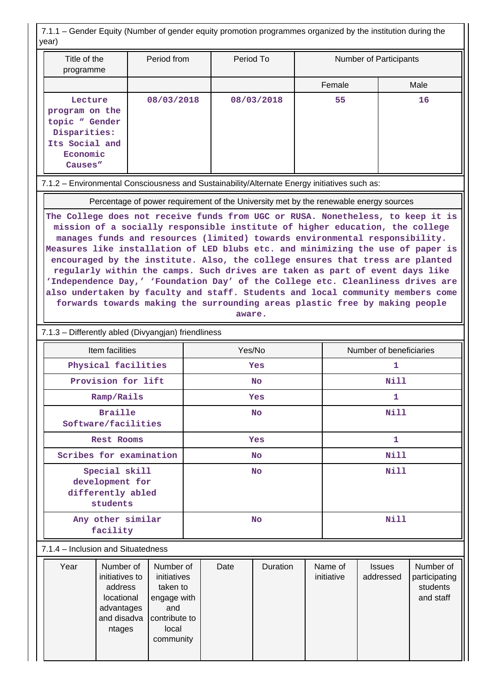7.1.1 – Gender Equity (Number of gender equity promotion programmes organized by the institution during the year)

| Title of the<br>programme                                                                                                                                                                                                                                                                                                                                                                                                                                                                                                                                                                                                                                                                                                                               |                                                                                                                                                                                                  | Period from |           | Period To |            |             | Number of Participants |                            |                                                     |  |  |  |  |
|---------------------------------------------------------------------------------------------------------------------------------------------------------------------------------------------------------------------------------------------------------------------------------------------------------------------------------------------------------------------------------------------------------------------------------------------------------------------------------------------------------------------------------------------------------------------------------------------------------------------------------------------------------------------------------------------------------------------------------------------------------|--------------------------------------------------------------------------------------------------------------------------------------------------------------------------------------------------|-------------|-----------|-----------|------------|-------------|------------------------|----------------------------|-----------------------------------------------------|--|--|--|--|
|                                                                                                                                                                                                                                                                                                                                                                                                                                                                                                                                                                                                                                                                                                                                                         |                                                                                                                                                                                                  |             |           |           |            |             | Female                 |                            | Male                                                |  |  |  |  |
| Lecture<br>program on the<br>topic " Gender<br>Disparities:<br>Its Social and<br>Economic<br>Causes"                                                                                                                                                                                                                                                                                                                                                                                                                                                                                                                                                                                                                                                    |                                                                                                                                                                                                  | 08/03/2018  |           |           | 08/03/2018 |             | 55                     |                            | 16                                                  |  |  |  |  |
|                                                                                                                                                                                                                                                                                                                                                                                                                                                                                                                                                                                                                                                                                                                                                         | 7.1.2 - Environmental Consciousness and Sustainability/Alternate Energy initiatives such as:                                                                                                     |             |           |           |            |             |                        |                            |                                                     |  |  |  |  |
| Percentage of power requirement of the University met by the renewable energy sources                                                                                                                                                                                                                                                                                                                                                                                                                                                                                                                                                                                                                                                                   |                                                                                                                                                                                                  |             |           |           |            |             |                        |                            |                                                     |  |  |  |  |
| The College does not receive funds from UGC or RUSA. Nonetheless, to keep it is<br>mission of a socially responsible institute of higher education, the college<br>manages funds and resources (limited) towards environmental responsibility.<br>Measures like installation of LED blubs etc. and minimizing the use of paper is<br>encouraged by the institute. Also, the college ensures that tress are planted<br>regularly within the camps. Such drives are taken as part of event days like<br>'Independence Day,' 'Foundation Day' of the College etc. Cleanliness drives are<br>also undertaken by faculty and staff. Students and local community members come<br>forwards towards making the surrounding areas plastic free by making people |                                                                                                                                                                                                  |             |           |           |            |             |                        |                            |                                                     |  |  |  |  |
|                                                                                                                                                                                                                                                                                                                                                                                                                                                                                                                                                                                                                                                                                                                                                         | aware.<br>7.1.3 - Differently abled (Divyangjan) friendliness                                                                                                                                    |             |           |           |            |             |                        |                            |                                                     |  |  |  |  |
|                                                                                                                                                                                                                                                                                                                                                                                                                                                                                                                                                                                                                                                                                                                                                         | Item facilities<br>Yes/No<br>Number of beneficiaries                                                                                                                                             |             |           |           |            |             |                        |                            |                                                     |  |  |  |  |
|                                                                                                                                                                                                                                                                                                                                                                                                                                                                                                                                                                                                                                                                                                                                                         | Physical facilities                                                                                                                                                                              |             | Yes       |           |            |             | 1                      |                            |                                                     |  |  |  |  |
|                                                                                                                                                                                                                                                                                                                                                                                                                                                                                                                                                                                                                                                                                                                                                         | Provision for lift                                                                                                                                                                               |             | <b>No</b> |           |            |             |                        | <b>Nill</b>                |                                                     |  |  |  |  |
| Ramp/Rails                                                                                                                                                                                                                                                                                                                                                                                                                                                                                                                                                                                                                                                                                                                                              | Yes                                                                                                                                                                                              |             |           |           | 1          |             |                        |                            |                                                     |  |  |  |  |
| Software/facilities                                                                                                                                                                                                                                                                                                                                                                                                                                                                                                                                                                                                                                                                                                                                     |                                                                                                                                                                                                  | No          |           |           |            | Nill        |                        |                            |                                                     |  |  |  |  |
|                                                                                                                                                                                                                                                                                                                                                                                                                                                                                                                                                                                                                                                                                                                                                         | <b>Rest Rooms</b>                                                                                                                                                                                |             | Yes       |           |            |             | 1                      |                            |                                                     |  |  |  |  |
|                                                                                                                                                                                                                                                                                                                                                                                                                                                                                                                                                                                                                                                                                                                                                         | Scribes for examination                                                                                                                                                                          |             | No        |           |            |             | <b>Nill</b>            |                            |                                                     |  |  |  |  |
| Special skill<br>development for<br>differently abled<br>students                                                                                                                                                                                                                                                                                                                                                                                                                                                                                                                                                                                                                                                                                       |                                                                                                                                                                                                  | No          |           |           |            | <b>Nill</b> |                        |                            |                                                     |  |  |  |  |
|                                                                                                                                                                                                                                                                                                                                                                                                                                                                                                                                                                                                                                                                                                                                                         | Any other similar<br>facility                                                                                                                                                                    |             | No        |           |            |             | <b>Nill</b>            |                            |                                                     |  |  |  |  |
| 7.1.4 – Inclusion and Situatedness                                                                                                                                                                                                                                                                                                                                                                                                                                                                                                                                                                                                                                                                                                                      |                                                                                                                                                                                                  |             |           |           |            |             |                        |                            |                                                     |  |  |  |  |
| Year                                                                                                                                                                                                                                                                                                                                                                                                                                                                                                                                                                                                                                                                                                                                                    | Number of<br>Number of<br>initiatives to<br>initiatives<br>address<br>taken to<br>locational<br>engage with<br>advantages<br>and<br>and disadva<br>contribute to<br>local<br>ntages<br>community |             |           | Date      | Duration   |             | Name of<br>initiative  | <b>Issues</b><br>addressed | Number of<br>participating<br>students<br>and staff |  |  |  |  |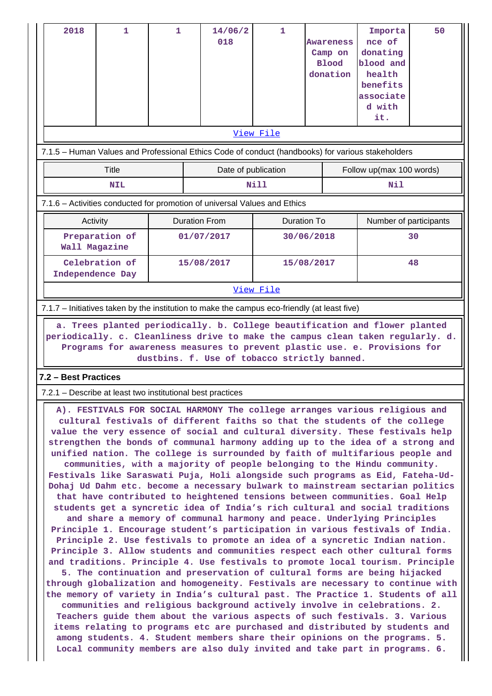| 2018                                                                                                                                                                                                                                                                                                                                                                                                                                                                                                                                                                                                                                                                                                                                         | 1                                                                                                 | 1 |                      | 14/06/2<br>018      | $\mathbf{1}$       |  | Awareness<br>Camp on<br><b>Blood</b><br>donation | Importa<br>nce of<br>donating<br>blood and<br>health<br>benefits<br>associate<br>d with<br>it. | 50 |
|----------------------------------------------------------------------------------------------------------------------------------------------------------------------------------------------------------------------------------------------------------------------------------------------------------------------------------------------------------------------------------------------------------------------------------------------------------------------------------------------------------------------------------------------------------------------------------------------------------------------------------------------------------------------------------------------------------------------------------------------|---------------------------------------------------------------------------------------------------|---|----------------------|---------------------|--------------------|--|--------------------------------------------------|------------------------------------------------------------------------------------------------|----|
|                                                                                                                                                                                                                                                                                                                                                                                                                                                                                                                                                                                                                                                                                                                                              |                                                                                                   |   |                      |                     | View File          |  |                                                  |                                                                                                |    |
|                                                                                                                                                                                                                                                                                                                                                                                                                                                                                                                                                                                                                                                                                                                                              | 7.1.5 - Human Values and Professional Ethics Code of conduct (handbooks) for various stakeholders |   |                      |                     |                    |  |                                                  |                                                                                                |    |
|                                                                                                                                                                                                                                                                                                                                                                                                                                                                                                                                                                                                                                                                                                                                              | <b>Title</b>                                                                                      |   |                      | Date of publication |                    |  |                                                  | Follow up(max 100 words)                                                                       |    |
|                                                                                                                                                                                                                                                                                                                                                                                                                                                                                                                                                                                                                                                                                                                                              | <b>NIL</b>                                                                                        |   |                      |                     | Nill               |  |                                                  | Nil                                                                                            |    |
|                                                                                                                                                                                                                                                                                                                                                                                                                                                                                                                                                                                                                                                                                                                                              | 7.1.6 - Activities conducted for promotion of universal Values and Ethics                         |   |                      |                     |                    |  |                                                  |                                                                                                |    |
|                                                                                                                                                                                                                                                                                                                                                                                                                                                                                                                                                                                                                                                                                                                                              | Activity                                                                                          |   | <b>Duration From</b> |                     | <b>Duration To</b> |  |                                                  | Number of participants                                                                         |    |
|                                                                                                                                                                                                                                                                                                                                                                                                                                                                                                                                                                                                                                                                                                                                              | Preparation of<br>Wall Magazine                                                                   |   |                      | 01/07/2017          | 30/06/2018         |  |                                                  | 30                                                                                             |    |
|                                                                                                                                                                                                                                                                                                                                                                                                                                                                                                                                                                                                                                                                                                                                              | Celebration of<br>Independence Day                                                                |   |                      | 15/08/2017          | 15/08/2017         |  | 48                                               |                                                                                                |    |
|                                                                                                                                                                                                                                                                                                                                                                                                                                                                                                                                                                                                                                                                                                                                              |                                                                                                   |   |                      |                     | View File          |  |                                                  |                                                                                                |    |
|                                                                                                                                                                                                                                                                                                                                                                                                                                                                                                                                                                                                                                                                                                                                              | 7.1.7 – Initiatives taken by the institution to make the campus eco-friendly (at least five)      |   |                      |                     |                    |  |                                                  |                                                                                                |    |
| a. Trees planted periodically. b. College beautification and flower planted<br>periodically. c. Cleanliness drive to make the campus clean taken regularly. d.<br>Programs for awareness measures to prevent plastic use. e. Provisions for<br>dustbins. f. Use of tobacco strictly banned.                                                                                                                                                                                                                                                                                                                                                                                                                                                  |                                                                                                   |   |                      |                     |                    |  |                                                  |                                                                                                |    |
| 7.2 - Best Practices                                                                                                                                                                                                                                                                                                                                                                                                                                                                                                                                                                                                                                                                                                                         |                                                                                                   |   |                      |                     |                    |  |                                                  |                                                                                                |    |
| 7.2.1 – Describe at least two institutional best practices                                                                                                                                                                                                                                                                                                                                                                                                                                                                                                                                                                                                                                                                                   |                                                                                                   |   |                      |                     |                    |  |                                                  |                                                                                                |    |
| A). FESTIVALS FOR SOCIAL HARMONY The college arranges various religious and<br>cultural festivals of different faiths so that the students of the college<br>value the very essence of social and cultural diversity. These festivals help<br>strengthen the bonds of communal harmony adding up to the idea of a strong and<br>unified nation. The college is surrounded by faith of multifarious people and<br>communities, with a majority of people belonging to the Hindu community.<br>Festivals like Saraswati Puja, Holi alongside such programs as Eid, Fateha-Ud-<br>Dohaj Ud Dahm etc. become a necessary bulwark to mainstream sectarian politics<br>that have contributed to heightened tensions between communities. Goal Help |                                                                                                   |   |                      |                     |                    |  |                                                  |                                                                                                |    |

**students get a syncretic idea of India's rich cultural and social traditions and share a memory of communal harmony and peace. Underlying Principles Principle 1. Encourage student's participation in various festivals of India. Principle 2. Use festivals to promote an idea of a syncretic Indian nation. Principle 3. Allow students and communities respect each other cultural forms and traditions. Principle 4. Use festivals to promote local tourism. Principle 5. The continuation and preservation of cultural forms are being hijacked**

**through globalization and homogeneity. Festivals are necessary to continue with the memory of variety in India's cultural past. The Practice 1. Students of all**

**communities and religious background actively involve in celebrations. 2. Teachers guide them about the various aspects of such festivals. 3. Various items relating to programs etc are purchased and distributed by students and among students. 4. Student members share their opinions on the programs. 5. Local community members are also duly invited and take part in programs. 6.**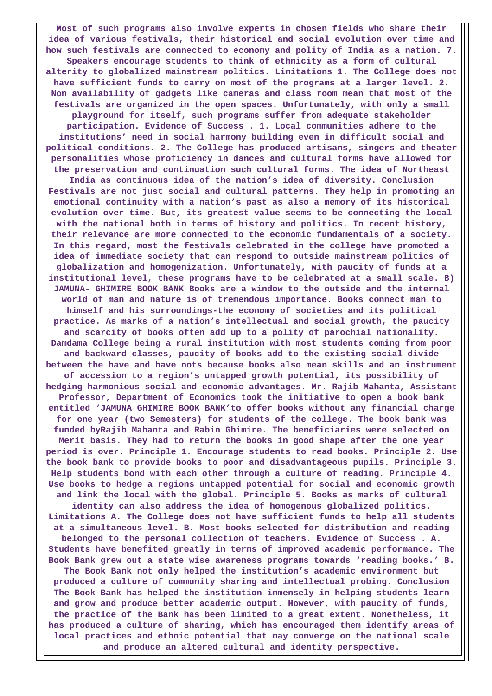**Most of such programs also involve experts in chosen fields who share their idea of various festivals, their historical and social evolution over time and how such festivals are connected to economy and polity of India as a nation. 7. Speakers encourage students to think of ethnicity as a form of cultural alterity to globalized mainstream politics. Limitations 1. The College does not have sufficient funds to carry on most of the programs at a larger level. 2. Non availability of gadgets like cameras and class room mean that most of the festivals are organized in the open spaces. Unfortunately, with only a small playground for itself, such programs suffer from adequate stakeholder participation. Evidence of Success . 1. Local communities adhere to the institutions' need in social harmony building even in difficult social and political conditions. 2. The College has produced artisans, singers and theater personalities whose proficiency in dances and cultural forms have allowed for the preservation and continuation such cultural forms. The idea of Northeast India as continuous idea of the nation's idea of diversity. Conclusion Festivals are not just social and cultural patterns. They help in promoting an emotional continuity with a nation's past as also a memory of its historical evolution over time. But, its greatest value seems to be connecting the local with the national both in terms of history and politics. In recent history, their relevance are more connected to the economic fundamentals of a society. In this regard, most the festivals celebrated in the college have promoted a idea of immediate society that can respond to outside mainstream politics of globalization and homogenization. Unfortunately, with paucity of funds at a institutional level, these programs have to be celebrated at a small scale. B) JAMUNA- GHIMIRE BOOK BANK Books are a window to the outside and the internal world of man and nature is of tremendous importance. Books connect man to himself and his surroundings-the economy of societies and its political practice. As marks of a nation's intellectual and social growth, the paucity and scarcity of books often add up to a polity of parochial nationality. Damdama College being a rural institution with most students coming from poor and backward classes, paucity of books add to the existing social divide between the have and have nots because books also mean skills and an instrument of accession to a region's untapped growth potential, its possibility of hedging harmonious social and economic advantages. Mr. Rajib Mahanta, Assistant Professor, Department of Economics took the initiative to open a book bank entitled 'JAMUNA GHIMIRE BOOK BANK'to offer books without any financial charge for one year (two Semesters) for students of the college. The book bank was funded byRajib Mahanta and Rabin Ghimire. The beneficiaries were selected on Merit basis. They had to return the books in good shape after the one year period is over. Principle 1. Encourage students to read books. Principle 2. Use the book bank to provide books to poor and disadvantageous pupils. Principle 3. Help students bond with each other through a culture of reading. Principle 4. Use books to hedge a regions untapped potential for social and economic growth and link the local with the global. Principle 5. Books as marks of cultural identity can also address the idea of homogenous globalized politics. Limitations A. The College does not have sufficient funds to help all students at a simultaneous level. B. Most books selected for distribution and reading belonged to the personal collection of teachers. Evidence of Success . A. Students have benefited greatly in terms of improved academic performance. The Book Bank grew out a state wise awareness programs towards 'reading books.' B. The Book Bank not only helped the institution's academic environment but produced a culture of community sharing and intellectual probing. Conclusion The Book Bank has helped the institution immensely in helping students learn and grow and produce better academic output. However, with paucity of funds, the practice of the Bank has been limited to a great extent. Nonetheless, it has produced a culture of sharing, which has encouraged them identify areas of local practices and ethnic potential that may converge on the national scale and produce an altered cultural and identity perspective.**